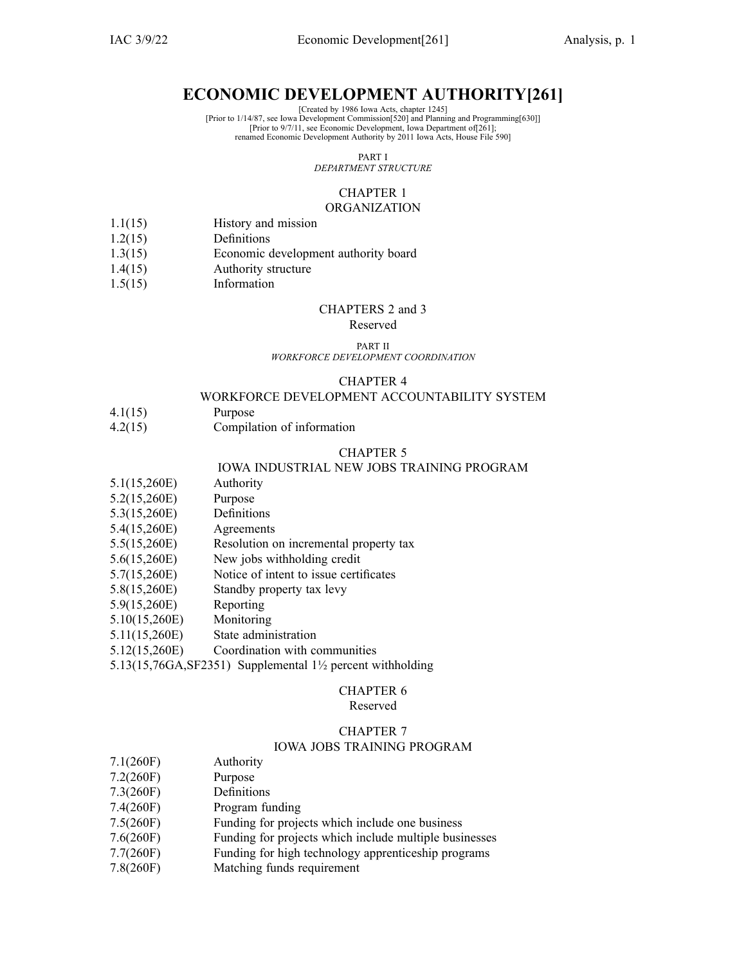### **ECONOMIC DEVELOPMENT AUTHORITY[261]**

[Created by 1986 Iowa Acts, chapter 1245]

[Prior to 9/7/11, see Economic Development, Iowa Department of[261]; renamed Economic Development Authority by 2011 Iowa Acts, House File 590]

PART I

*DEPARTMENT STRUCTURE*

#### CHAPTER 1 **ORGANIZATION**

- 1.1(15) History and mission
- 1.2(15) Definitions
- 1.3(15) Economic development authority board
- 1.4(15) Authority structure
- 1.5(15) Information

#### CHAPTERS 2 and 3

#### Reserved

#### PART II *WORKFORCE DEVELOPMENT COORDINATION*

#### CHAPTER 4

#### WORKFORCE DEVELOPMENT ACCOUNTABILITY SYSTEM

- 4.1(15) Purpose
- 4.2(15) Compilation of information

#### CHAPTER 5

#### IOWA INDUSTRIAL NEW JOBS TRAINING PROGRAM

- 5.1(15,260E) Authority
- 5.2(15,260E) Purpose
- 5.3(15,260E) Definitions
- 5.4(15,260E) Agreements
- 5.5(15,260E) Resolution on incremental property tax
- 5.6(15,260E) New jobs withholding credit
- 5.7(15,260E) Notice of intent to issue certificates
- 5.8(15,260E) Standby property tax levy
- 5.9(15,260E) Reporting
- 5.10(15,260E) Monitoring
- 5.11(15,260E) State administration
- 5.12(15,260E) Coordination with communities

5.13(15,76GA,SF2351) Supplemental 1½ percen<sup>t</sup> withholding

### CHAPTER 6

### Reserved

#### CHAPTER 7

#### IOWA JOBS TRAINING PROGRAM

- 7.1(260F) Authority
- 7.2(260F) Purpose
- 7.3(260F) Definitions
- 7.4(260F) Program funding
- 7.5(260F) Funding for projects which include one business
- 7.6(260F) Funding for projects which include multiple businesses
- 7.7(260F) Funding for high technology apprenticeship programs
- 7.8(260F) Matching funds requirement

<sup>[</sup>Prior to 1/14/87, see Iowa Development Commission[520] and Planning and Programming[630]]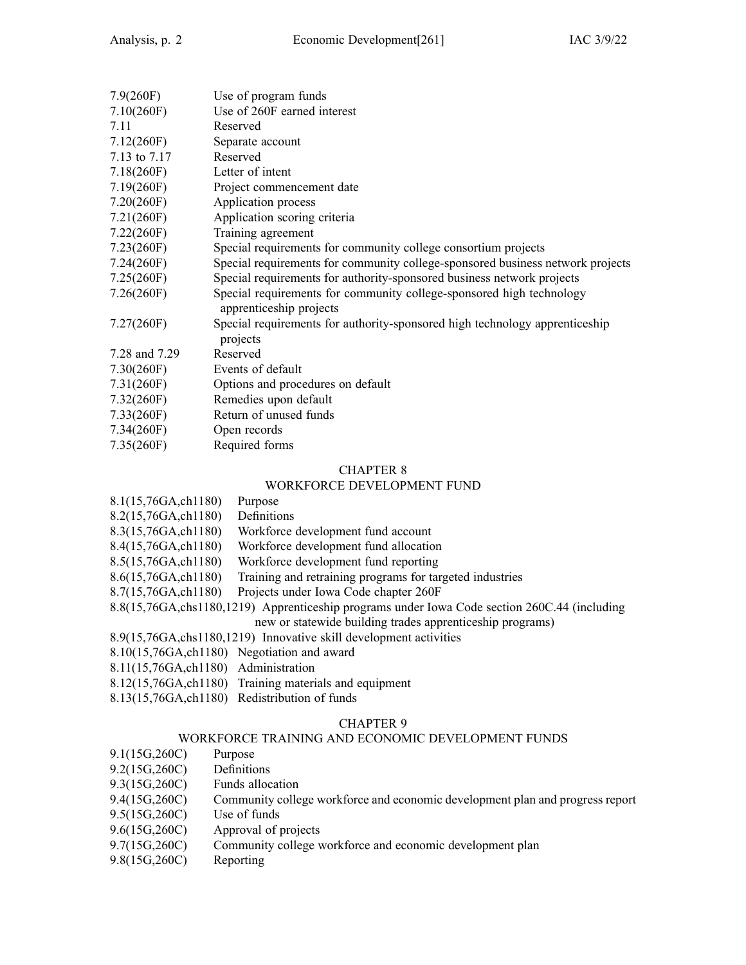| 7.9(260F)     | Use of program funds                                                                            |
|---------------|-------------------------------------------------------------------------------------------------|
| 7.10(260)     | Use of 260F earned interest                                                                     |
| 7.11          | Reserved                                                                                        |
| 7.12(260F)    | Separate account                                                                                |
| 7.13 to 7.17  | Reserved                                                                                        |
| 7.18(260F)    | Letter of intent                                                                                |
| 7.19(260F)    | Project commencement date                                                                       |
| 7.20(260F)    | Application process                                                                             |
| 7.21(260F)    | Application scoring criteria                                                                    |
| 7.22(260F)    | Training agreement                                                                              |
| 7.23(260F)    | Special requirements for community college consortium projects                                  |
| 7.24(260F)    | Special requirements for community college-sponsored business network projects                  |
| 7.25(260F)    | Special requirements for authority-sponsored business network projects                          |
| 7.26(260F)    | Special requirements for community college-sponsored high technology<br>apprenticeship projects |
| 7.27(260F)    | Special requirements for authority-sponsored high technology apprenticeship<br>projects         |
| 7.28 and 7.29 | Reserved                                                                                        |
| 7.30(260F)    | Events of default                                                                               |
| 7.31(260F)    | Options and procedures on default                                                               |
| 7.32(260F)    | Remedies upon default                                                                           |
| 7.33(260F)    | Return of unused funds                                                                          |
| 7.34(260F)    | Open records                                                                                    |
| 7.35(260F)    | Required forms                                                                                  |
|               |                                                                                                 |

### WORKFORCE DEVELOPMENT FUND

|                                                                     | WORNFORCE DEVELOPMENT FUND                                                                     |  |
|---------------------------------------------------------------------|------------------------------------------------------------------------------------------------|--|
| 8.1(15,76GA,ch1180)                                                 | Purpose                                                                                        |  |
| 8.2(15,76GA,ch1180)                                                 | Definitions                                                                                    |  |
| 8.3(15,76GA,ch1180)                                                 | Workforce development fund account                                                             |  |
| 8.4(15,76GA,ch1180)                                                 | Workforce development fund allocation                                                          |  |
| 8.5(15,76GA,ch1180)                                                 | Workforce development fund reporting                                                           |  |
| 8.6(15,76GA,ch1180)                                                 | Training and retraining programs for targeted industries                                       |  |
| 8.7(15,76GA,ch1180)                                                 | Projects under Iowa Code chapter 260F                                                          |  |
|                                                                     | 8.8(15,76GA, chs1180, 1219) Apprenticeship programs under Iowa Code section 260C.44 (including |  |
|                                                                     | new or statewide building trades apprenticeship programs)                                      |  |
| 8.9(15,76GA, chs1180, 1219) Innovative skill development activities |                                                                                                |  |
| 8.10(15,76GA, ch1180) Negotiation and award                         |                                                                                                |  |
| 8.11(15,76GA, ch1180) Administration                                |                                                                                                |  |
|                                                                     |                                                                                                |  |

8.12(15,76GA,ch1180) Training materials and equipment

8.13(15,76GA,ch1180) Redistribution of funds

### CHAPTER 9

### WORKFORCE TRAINING AND ECONOMIC DEVELOPMENT FUNDS

- 9.1(15G,260C) Purpose 9.2(15G,260C) Definitions<br>9.3(15G,260C) Funds allocation  $9.3(15G,260C)$ 9.4(15G,260C) Community college workforce and economic development plan and progress repor<sup>t</sup> 9.5(15G,260C) Use of funds 9.6(15G,260C) Approval of projects 9.7(15G,260C) Community college workforce and economic development plan
- 9.8(15G,260C) Reporting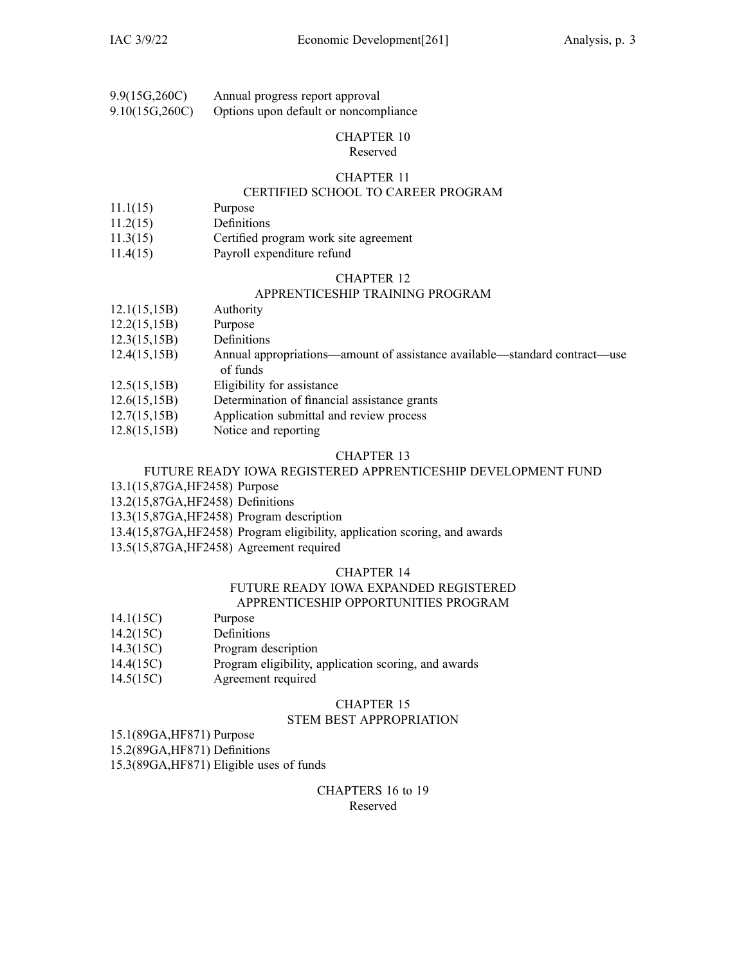| 9.9(15G,260C)  | Annual progress report approval       |
|----------------|---------------------------------------|
| 9.10(15G,260C) | Options upon default or noncompliance |

#### Reserved

#### CHAPTER 11

### CERTIFIED SCHOOL TO CAREER PROGRAM

- 11.1(15) Purpose
- 11.2(15) Definitions
- 11.3(15) Certified program work site agreemen<sup>t</sup>
- 11.4(15) Payroll expenditure refund

#### CHAPTER 12

#### APPRENTICESHIP TRAINING PROGRAM

- 12.1(15,15B) Authority
- 12.2(15,15B) Purpose
- 12.3(15,15B) Definitions
- 12.4(15,15B) Annual appropriations—amount of assistance available—standard contract—use of funds
- 12.5(15,15B) Eligibility for assistance
- 12.6(15,15B) Determination of financial assistance grants
- 12.7(15,15B) Application submittal and review process
- 12.8(15,15B) Notice and reporting

#### CHAPTER 13

### FUTURE READY IOWA REGISTERED APPRENTICESHIP DEVELOPMENT FUND

- 13.1(15,87GA,HF2458) Purpose
- 13.2(15,87GA,HF2458) Definitions
- 13.3(15,87GA,HF2458) Program description
- 13.4(15,87GA,HF2458) Program eligibility, application scoring, and awards
- 13.5(15,87GA,HF2458) Agreement required

#### CHAPTER 14

#### FUTURE READY IOWA EXPANDED REGISTERED APPRENTICESHIP OPPORTUNITIES PROGRAM

- 14.1(15C) Purpose
- 14.2(15C) Definitions
- 14.3(15C) Program description
- 14.4(15C) Program eligibility, application scoring, and awards
- 14.5(15C) Agreement required

#### CHAPTER 15

#### STEM BEST APPROPRIATION

15.1(89GA,HF871) Purpose

15.2(89GA,HF871) Definitions

15.3(89GA,HF871) Eligible uses of funds

#### CHAPTERS 16 to 19 Reserved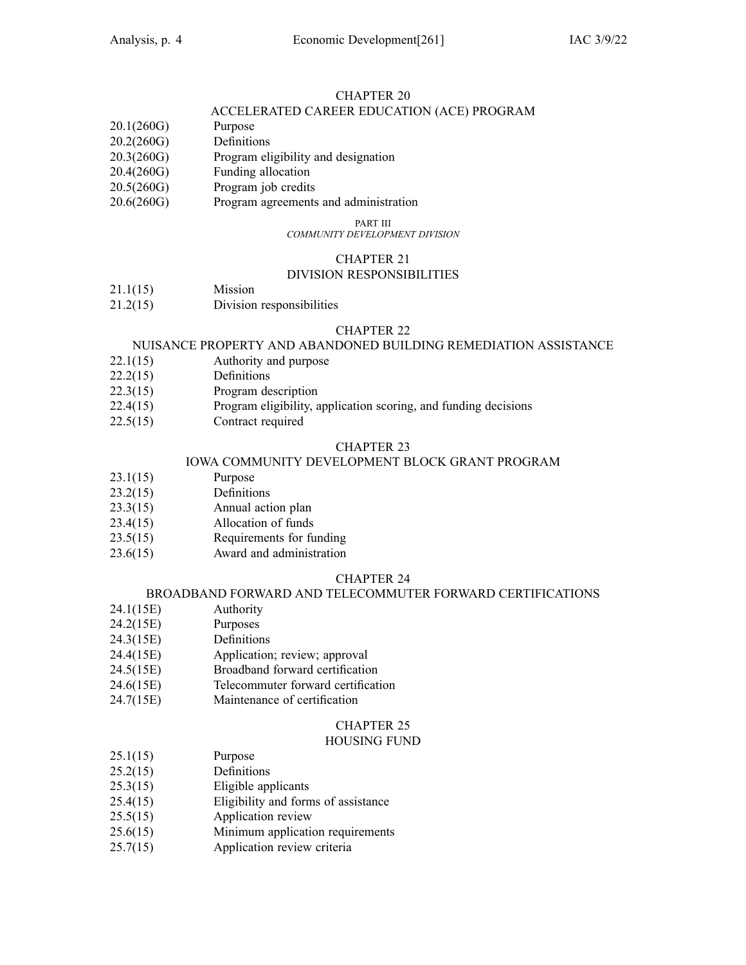### ACCELERATED CAREER EDUCATION (ACE) PROGRAM

- 20.1(260G) Purpose
- 20.2(260G) Definitions
- 20.3(260G) Program eligibility and designation
- 20.4(260G) Funding allocation
- 20.5(260G) Program job credits
- 20.6(260G) Program agreements and administration

#### PART III

*COMMUNITY DEVELOPMENT DIVISION*

### CHAPTER 21

### DIVISION RESPONSIBILITIES

- 21.1(15) Mission
- 21.2(15) Division responsibilities

#### CHAPTER 22

#### NUISANCE PROPERTY AND ABANDONED BUILDING REMEDIATION ASSISTANCE

- 22.1(15) Authority and purpose
- 22.2(15) Definitions
- 22.3(15) Program description
- 22.4(15) Program eligibility, application scoring, and funding decisions
- 22.5(15) Contract required

#### CHAPTER 23

#### IOWA COMMUNITY DEVELOPMENT BLOCK GRANT PROGRAM

- 23.1(15) Purpose
- 23.2(15) Definitions
- 23.3(15) Annual action plan
- 23.4(15) Allocation of funds
- 23.5(15) Requirements for funding
- 23.6(15) Award and administration

#### CHAPTER 24

#### BROADBAND FORWARD AND TELECOMMUTER FORWARD CERTIFICATIONS

- 24.1(15E) Authority
- 24.2(15E) Purposes
- 24.3(15E) Definitions
- 24.4(15E) Application; review; approval
- 24.5(15E) Broadband forward certification
- 24.6(15E) Telecommuter forward certification
- 24.7(15E) Maintenance of certification

### CHAPTER 25

#### HOUSING FUND

- 25.1(15) Purpose
- 25.2(15) Definitions
- 25.3(15) Eligible applicants
- 25.4(15) Eligibility and forms of assistance
- 25.5(15) Application review
- 25.6(15) Minimum application requirements
- 25.7(15) Application review criteria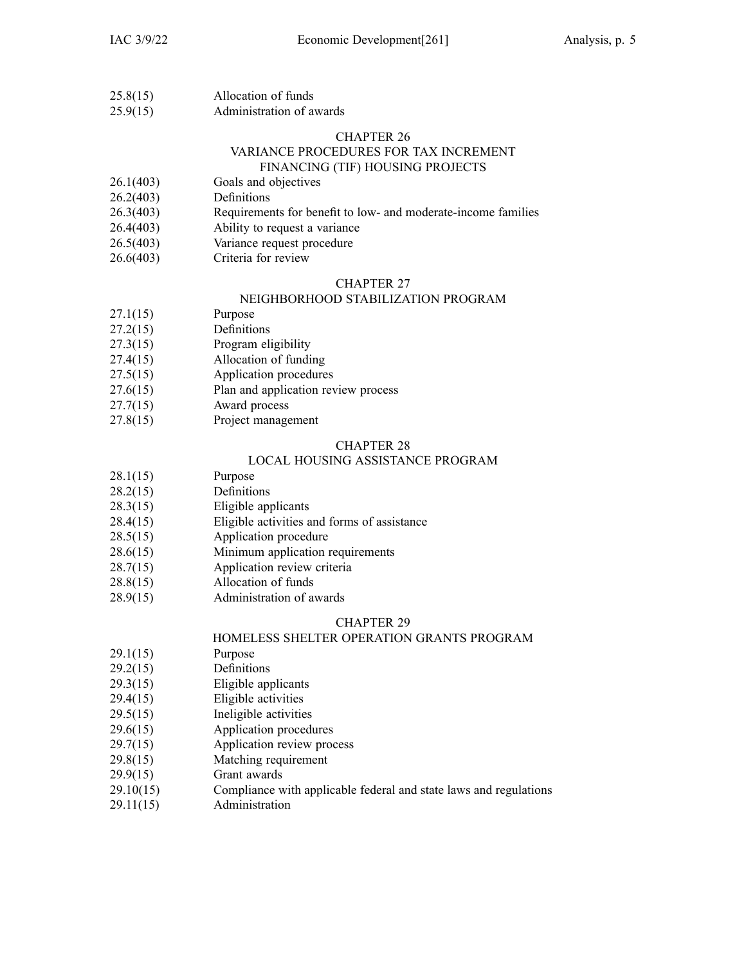| 25.8(15)                                   | Allocation of funds |
|--------------------------------------------|---------------------|
| $\bullet$ = $\bullet$ $\prime$ + = $\cdot$ |                     |

25.9(15) Administration of awards

#### CHAPTER 26 VARIANCE PROCEDURES FOR TAX INCREMENT FINANCING (TIF) HOUSING PROJECTS

- 26.1(403) Goals and objectives
- 26.2(403) Definitions
- 26.3(403) Requirements for benefit to low- and moderate-income families
- 26.4(403) Ability to reques<sup>t</sup> <sup>a</sup> variance
- 26.5(403) Variance reques<sup>t</sup> procedure
- 26.6(403) Criteria for review

#### CHAPTER 27

#### NEIGHBORHOOD STABILIZATION PROGRAM

- 27.1(15) Purpose
- 27.2(15) Definitions
- 27.3(15) Program eligibility
- 27.4(15) Allocation of funding
- 27.5(15) Application procedures
- 27.6(15) Plan and application review process
- 27.7(15) Award process
- 27.8(15) Project managemen<sup>t</sup>

#### CHAPTER 28

#### LOCAL HOUSING ASSISTANCE PROGRAM

- 28.1(15) Purpose
- 28.2(15) Definitions
- 28.3(15) Eligible applicants
- 28.4(15) Eligible activities and forms of assistance
- 28.5(15) Application procedure
- 28.6(15) Minimum application requirements
- 28.7(15) Application review criteria
- 28.8(15) Allocation of funds
- 28.9(15) Administration of awards

### CHAPTER 29

### HOMELESS SHELTER OPERATION GRANTS PROGRAM

- 29.1(15) Purpose
- 29.2(15) Definitions
- 29.3(15) Eligible applicants
- 29.4(15) Eligible activities
- 29.5(15) Ineligible activities
- 29.6(15) Application procedures
- 29.7(15) Application review process
- 29.8(15) Matching requirement
- 29.9(15) Grant awards
- 29.10(15) Compliance with applicable federal and state laws and regulations
- 29.11(15) Administration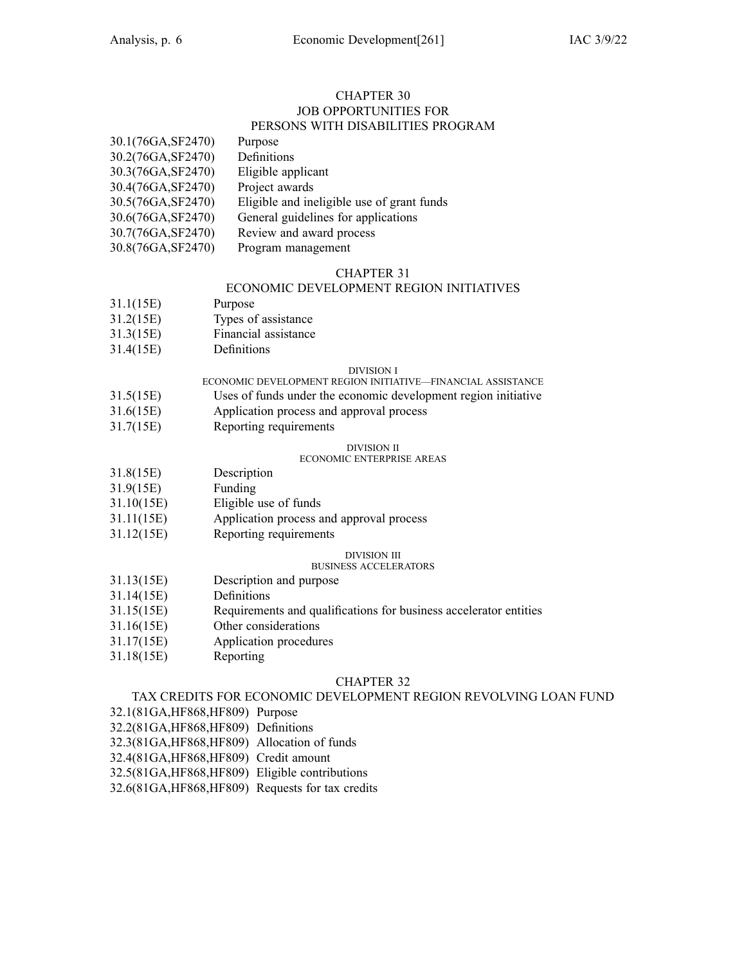#### CHAPTER 30 JOB OPPORTUNITIES FOR PERSONS WITH DISABILITIES PROGRAM

| 30.1(76GA, SF2470) | Purpose                                    |
|--------------------|--------------------------------------------|
| 30.2(76GA, SF2470) | Definitions                                |
| 30.3(76GA, SF2470) | Eligible applicant                         |
| 30.4(76GA, SF2470) | Project awards                             |
| 30.5(76GA, SF2470) | Eligible and ineligible use of grant funds |
| 30.6(76GA, SF2470) | General guidelines for applications        |
| 30.7(76GA, SF2470) | Review and award process                   |
| 30.8(76GA, SF2470) | Program management                         |

#### CHAPTER 31

### ECONOMIC DEVELOPMENT REGION INITIATIVES

- 31.1(15E) Purpose
- 31.2(15E) Types of assistance
- 31.3(15E) Financial assistance
- 31.4(15E) Definitions

#### DIVISION I

- ECONOMIC DEVELOPMENT REGION INITIATIVE—FINANCIAL ASSISTANCE
- 31.5(15E) Uses of funds under the economic development region initiative
- 31.6(15E) Application process and approval process
- 31.7(15E) Reporting requirements

#### DIVISION II

#### ECONOMIC ENTERPRISE AREAS

- 31.8(15E) Description
- 31.9(15E) Funding
- 31.10(15E) Eligible use of funds
- 31.11(15E) Application process and approval process
- 31.12(15E) Reporting requirements

#### DIVISION III

#### BUSINESS ACCELERATORS

- 31.13(15E) Description and purpose
- 31.14(15E) Definitions
- 31.15(15E) Requirements and qualifications for business accelerator entities
- 31.16(15E) Other considerations
- 31.17(15E) Application procedures
- 31.18(15E) Reporting

#### CHAPTER 32

#### TAX CREDITS FOR ECONOMIC DEVELOPMENT REGION REVOLVING LOAN FUND

- 32.1(81GA,HF868,HF809) Purpose
- 32.2(81GA,HF868,HF809) Definitions
- 32.3(81GA,HF868,HF809) Allocation of funds
- 32.4(81GA,HF868,HF809) Credit amount
- 32.5(81GA,HF868,HF809) Eligible contributions
- 32.6(81GA,HF868,HF809) Requests for tax credits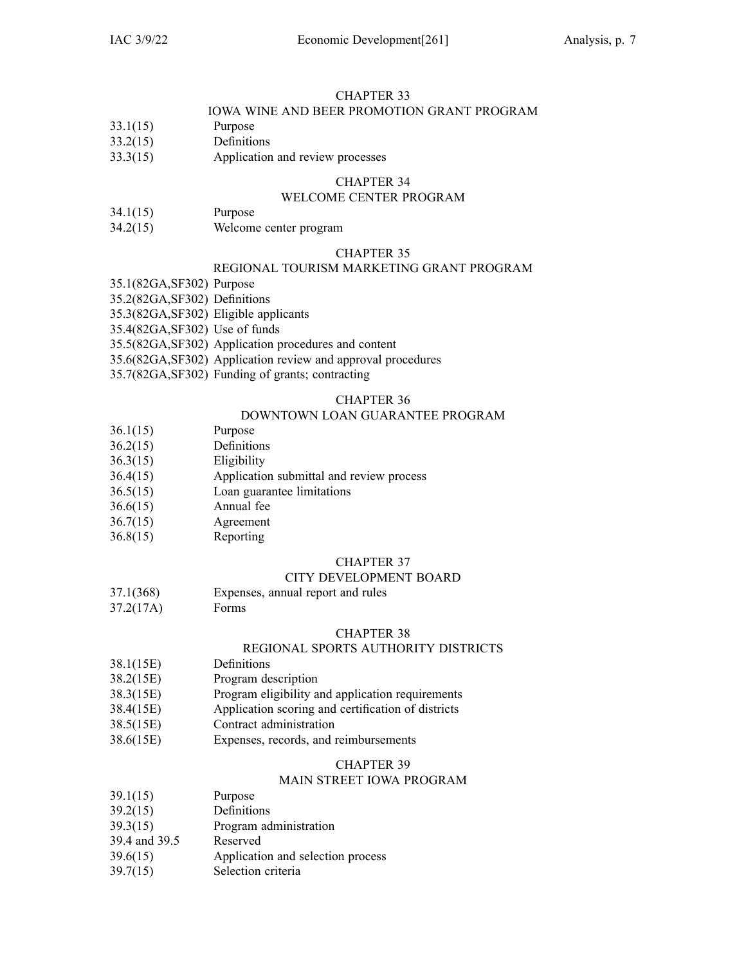### IOWA WINE AND BEER PROMOTION GRANT PROGRAM

- 33.1(15) Purpose
- 33.2(15) Definitions
- 33.3(15) Application and review processes

### CHAPTER 34

#### WELCOME CENTER PROGRAM

- 34.1(15) Purpose
- 34.2(15) Welcome center program

#### CHAPTER 35

### REGIONAL TOURISM MARKETING GRANT PROGRAM

35.1(82GA,SF302) Purpose

- 35.2(82GA,SF302) Definitions
- 35.3(82GA,SF302) Eligible applicants
- 35.4(82GA,SF302) Use of funds
- 35.5(82GA,SF302) Application procedures and content
- 35.6(82GA,SF302) Application review and approval procedures
- 35.7(82GA,SF302) Funding of grants; contracting

#### CHAPTER 36

### DOWNTOWN LOAN GUARANTEE PROGRAM

- 36.1(15) Purpose
- 36.2(15) Definitions
- 36.3(15) Eligibility
- 36.4(15) Application submittal and review process
- 36.5(15) Loan guarantee limitations
- 36.6(15) Annual fee
- 36.7(15) Agreement
- 36.8(15) Reporting

#### CHAPTER 37

#### CITY DEVELOPMENT BOARD

- 37.1(368) Expenses, annual repor<sup>t</sup> and rules
- 37.2(17A) Forms

#### CHAPTER 38

#### REGIONAL SPORTS AUTHORITY DISTRICTS

- 38.1(15E) Definitions
- 38.2(15E) Program description
- 38.3(15E) Program eligibility and application requirements
- 38.4(15E) Application scoring and certification of districts
- 38.5(15E) Contract administration
- 38.6(15E) Expenses, records, and reimbursements

#### CHAPTER 39

#### MAIN STREET IOWA PROGRAM

- 39.1(15) Purpose
- 39.2(15) Definitions
- 39.3(15) Program administration
- 39.4 and 39.5 Reserved
- 39.6(15) Application and selection process
- 39.7(15) Selection criteria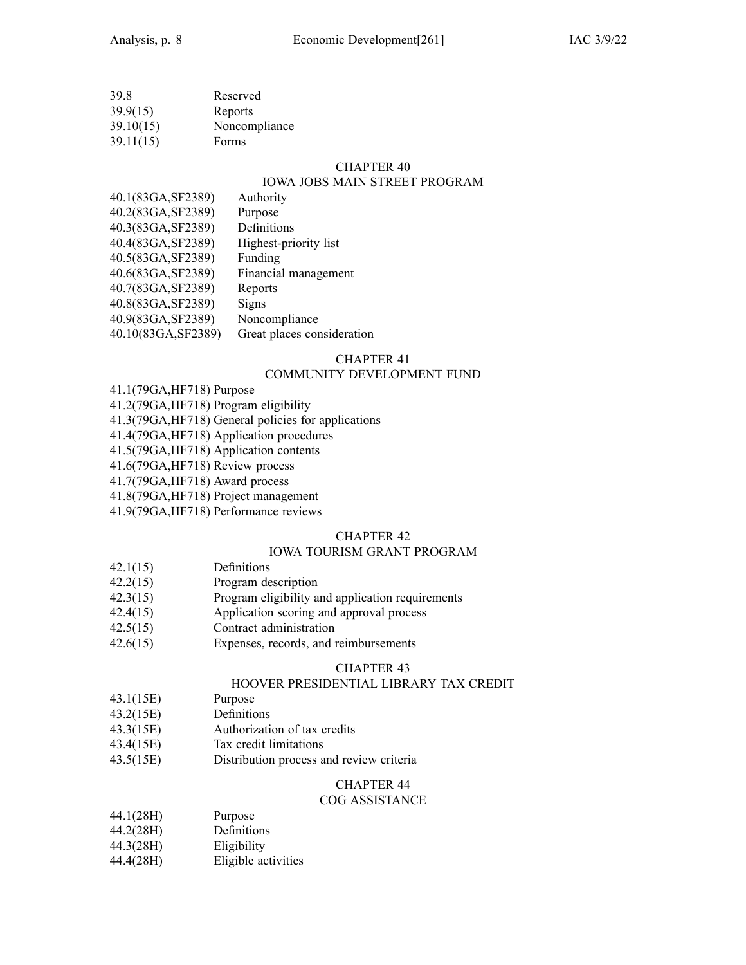| 39.8      | Reserved      |
|-----------|---------------|
| 39.9(15)  | Reports       |
| 39.10(15) | Noncompliance |
| 39.11(15) | Forms         |

### IOWA JOBS MAIN STREET PROGRAM

| 40.1(83GA, SF2389)  | Authority                  |
|---------------------|----------------------------|
| 40.2(83GA, SF2389)  | Purpose                    |
| 40.3(83GA, SF2389)  | Definitions                |
| 40.4(83GA, SF2389)  | Highest-priority list      |
| 40.5(83GA, SF2389)  | Funding                    |
| 40.6(83GA, SF2389)  | Financial management       |
| 40.7(83GA, SF2389)  | Reports                    |
| 40.8(83GA, SF2389)  | Signs                      |
| 40.9(83GA, SF2389)  | Noncompliance              |
| 40.10(83GA, SF2389) | Great places consideration |
|                     |                            |

#### CHAPTER 41

### COMMUNITY DEVELOPMENT FUND

- 41.1(79GA,HF718) Purpose
- 41.2(79GA,HF718) Program eligibility
- 41.3(79GA,HF718) General policies for applications
- 41.4(79GA,HF718) Application procedures
- 41.5(79GA,HF718) Application contents
- 41.6(79GA,HF718) Review process

41.7(79GA,HF718) Award process

- 41.8(79GA,HF718) Project managemen<sup>t</sup>
- 41.9(79GA,HF718) Performance reviews

#### CHAPTER 42

#### IOWA TOURISM GRANT PROGRAM

- 42.1(15) Definitions
- 42.2(15) Program description
- 42.3(15) Program eligibility and application requirements
- 42.4(15) Application scoring and approval process
- 42.5(15) Contract administration
- 42.6(15) Expenses, records, and reimbursements

#### CHAPTER 43

### HOOVER PRESIDENTIAL LIBRARY TAX CREDIT

- 43.1(15E) Purpose
- 43.2(15E) Definitions
- 43.3(15E) Authorization of tax credits
- 43.4(15E) Tax credit limitations
- 43.5(15E) Distribution process and review criteria

### CHAPTER 44

#### COG ASSISTANCE

- 44.1(28H) Purpose
- 44.2(28H) Definitions
- 44.3(28H) Eligibility
- 44.4(28H) Eligible activities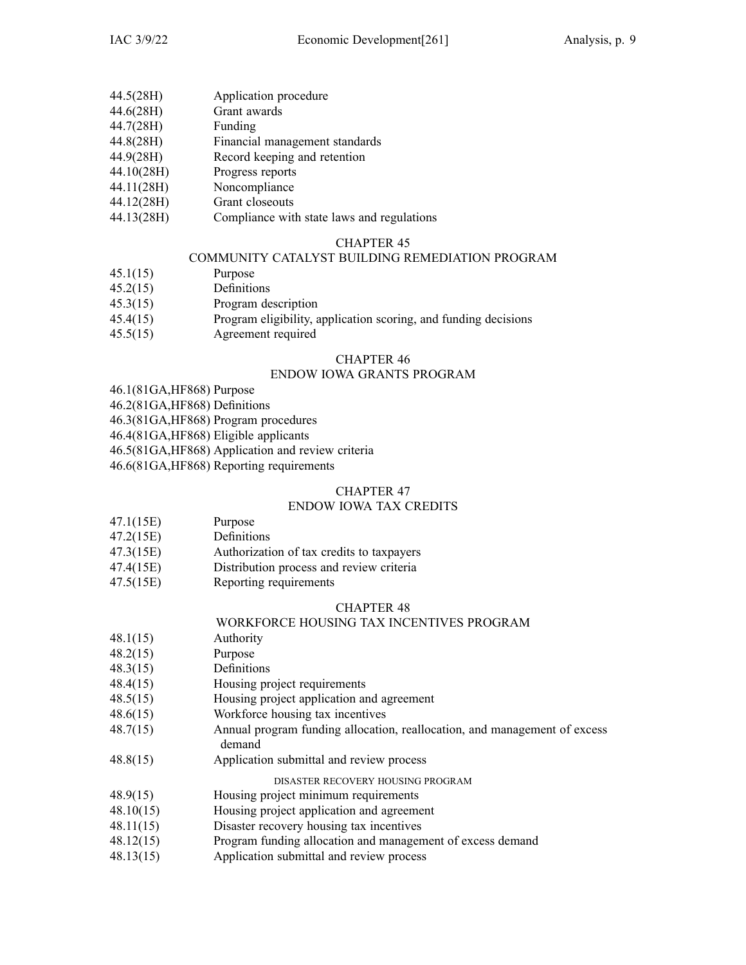- 44.5(28H) Application procedure
- 44.6(28H) Grant awards
- 44.7(28H) Funding
- 44.8(28H) Financial managemen<sup>t</sup> standards
- 44.9(28H) Record keeping and retention
- 44.10(28H) Progress reports
- 44.11(28H) Noncompliance
- 44.12(28H) Grant closeouts
- 44.13(28H) Compliance with state laws and regulations

#### COMMUNITY CATALYST BUILDING REMEDIATION PROGRAM

- 45.1(15) Purpose
- 45.2(15) Definitions
- 45.3(15) Program description
- 45.4(15) Program eligibility, application scoring, and funding decisions
- 45.5(15) Agreement required

#### CHAPTER 46

#### ENDOW IOWA GRANTS PROGRAM

- 46.1(81GA,HF868) Purpose
- 46.2(81GA,HF868) Definitions
- 46.3(81GA,HF868) Program procedures
- 46.4(81GA,HF868) Eligible applicants
- 46.5(81GA,HF868) Application and review criteria
- 46.6(81GA,HF868) Reporting requirements

#### CHAPTER 47

#### ENDOW IOWA TAX CREDITS

- 47.1(15E) Purpose
- 47.2(15E) Definitions
- 47.3(15E) Authorization of tax credits to taxpayers
- 47.4(15E) Distribution process and review criteria
- 47.5(15E) Reporting requirements

#### CHAPTER 48

#### WORKFORCE HOUSING TAX INCENTIVES PROGRAM

- 48.1(15) Authority
- 48.2(15) Purpose
- 48.3(15) Definitions
- 48.4(15) Housing project requirements
- 48.5(15) Housing project application and agreemen<sup>t</sup>
- 48.6(15) Workforce housing tax incentives
- 48.7(15) Annual program funding allocation, reallocation, and managemen<sup>t</sup> of excess demand
- 48.8(15) Application submittal and review process

DISASTER RECOVERY HOUSING PROGRAM

- 48.9(15) Housing project minimum requirements
- 48.10(15) Housing project application and agreemen<sup>t</sup>
- 48.11(15) Disaster recovery housing tax incentives
- 48.12(15) Program funding allocation and managemen<sup>t</sup> of excess demand
- 48.13(15) Application submittal and review process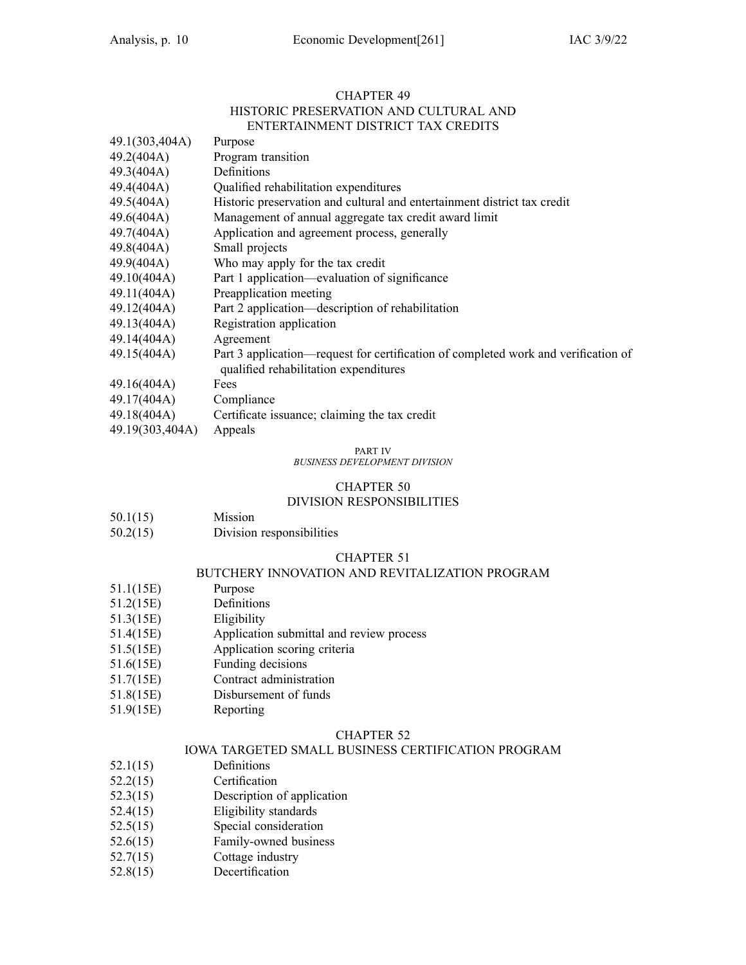#### CHAPTER 49 HISTORIC PRESERVATION AND CULTURAL AND ENTERTAINMENT DISTRICT TAX CREDITS

| 49.1(303,404A)         | Purpose                                                                                                                     |
|------------------------|-----------------------------------------------------------------------------------------------------------------------------|
| 49.2(404A)             | Program transition                                                                                                          |
| 49.3(404A)             | Definitions                                                                                                                 |
| 49.4(404A)             | Qualified rehabilitation expenditures                                                                                       |
| 49.5(404A)             | Historic preservation and cultural and entertainment district tax credit                                                    |
| 49.6(404A)             | Management of annual aggregate tax credit award limit                                                                       |
| 49.7(404A)             | Application and agreement process, generally                                                                                |
| 49.8(404A)             | Small projects                                                                                                              |
| 49.9(404A)             | Who may apply for the tax credit                                                                                            |
| 49.10(404A)            | Part 1 application—evaluation of significance                                                                               |
| 49.11(404A)            | Preapplication meeting                                                                                                      |
| 49.12(404A)            | Part 2 application—description of rehabilitation                                                                            |
| 49.13(404A)            | Registration application                                                                                                    |
| 49.14(404A)            | Agreement                                                                                                                   |
| 49.15(404A)            | Part 3 application—request for certification of completed work and verification of<br>qualified rehabilitation expenditures |
| 49.16(404A)            | Fees                                                                                                                        |
| 49.17(404A) Compliance |                                                                                                                             |
|                        | 49.18(404A) Certificate issuance; claiming the tax credit                                                                   |
| 49.19(303,404A)        | Appeals                                                                                                                     |

#### PART IV

*BUSINESS DEVELOPMENT DIVISION*

#### CHAPTER 50

#### DIVISION RESPONSIBILITIES

| 50.1(15) | Mission |
|----------|---------|
|----------|---------|

50.2(15) Division responsibilities

#### CHAPTER 51

#### BUTCHERY INNOVATION AND REVITALIZATION PROGRAM

- 51.1(15E) Purpose
- 51.2(15E) Definitions
- 51.3(15E) Eligibility
- 51.4(15E) Application submittal and review process
- 51.5(15E) Application scoring criteria
- 51.6(15E) Funding decisions
- 51.7(15E) Contract administration
- 51.8(15E) Disbursement of funds
- 51.9(15E) Reporting

#### CHAPTER 52

#### IOWA TARGETED SMALL BUSINESS CERTIFICATION PROGRAM

- 52.1(15) Definitions
- 52.2(15) Certification
- 52.3(15) Description of application
- 52.4(15) Eligibility standards
- 52.5(15) Special consideration
- 52.6(15) Family-owned business
- 52.7(15) Cottage industry
- 52.8(15) Decertification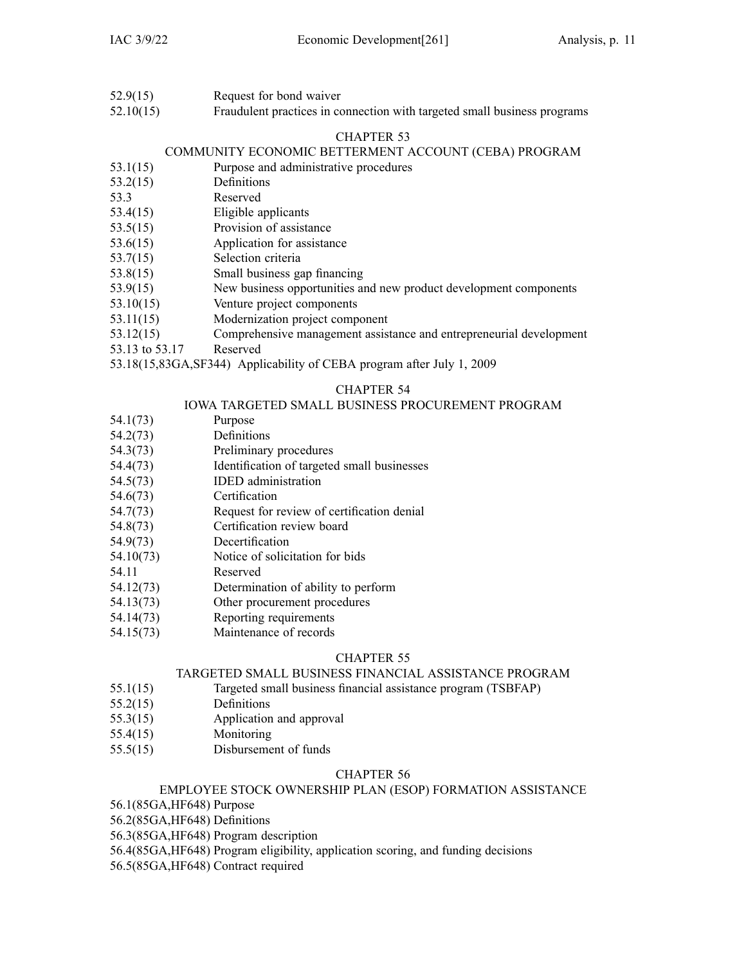- 52.9(15) Request for bond waiver
- 52.10(15) Fraudulent practices in connection with targeted small business programs

### COMMUNITY ECONOMIC BETTERMENT ACCOUNT (CEBA) PROGRAM

- 53.1(15) Purpose and administrative procedures
- 53.2(15) Definitions
- 53.3 Reserved
- 53.4(15) Eligible applicants
- 53.5(15) Provision of assistance
- 53.6(15) Application for assistance
- 53.7(15) Selection criteria
- 53.8(15) Small business gap financing
- 53.9(15) New business opportunities and new product development components
- 53.10(15) Venture project components
- 53.11(15) Modernization project componen<sup>t</sup>
- 53.12(15) Comprehensive managemen<sup>t</sup> assistance and entrepreneurial development
- 53.13 to 53.17 Reserved
- 53.18(15,83GA,SF344) Applicability of CEBA program after July 1, 2009

#### CHAPTER 54

#### IOWA TARGETED SMALL BUSINESS PROCUREMENT PROGRAM

- 54.1(73) Purpose
- 54.2(73) Definitions
- 54.3(73) Preliminary procedures
- 54.4(73) Identification of targeted small businesses
- 54.5(73) IDED administration
- 54.6(73) Certification
- 54.7(73) Request for review of certification denial
- 54.8(73) Certification review board
- 54.9(73) Decertification
- 54.10(73) Notice of solicitation for bids
- 54.11 Reserved
- 54.12(73) Determination of ability to perform
- 54.13(73) Other procuremen<sup>t</sup> procedures
- 54.14(73) Reporting requirements
- 54.15(73) Maintenance of records

### CHAPTER 55

#### TARGETED SMALL BUSINESS FINANCIAL ASSISTANCE PROGRAM

- 55.1(15) Targeted small business financial assistance program (TSBFAP)
- 55.2(15) Definitions
- 55.3(15) Application and approval
- 55.4(15) Monitoring
- 55.5(15) Disbursement of funds

#### CHAPTER 56

#### EMPLOYEE STOCK OWNERSHIP PLAN (ESOP) FORMATION ASSISTANCE

56.1(85GA,HF648) Purpose

56.2(85GA,HF648) Definitions

56.3(85GA,HF648) Program description

56.4(85GA,HF648) Program eligibility, application scoring, and funding decisions

56.5(85GA,HF648) Contract required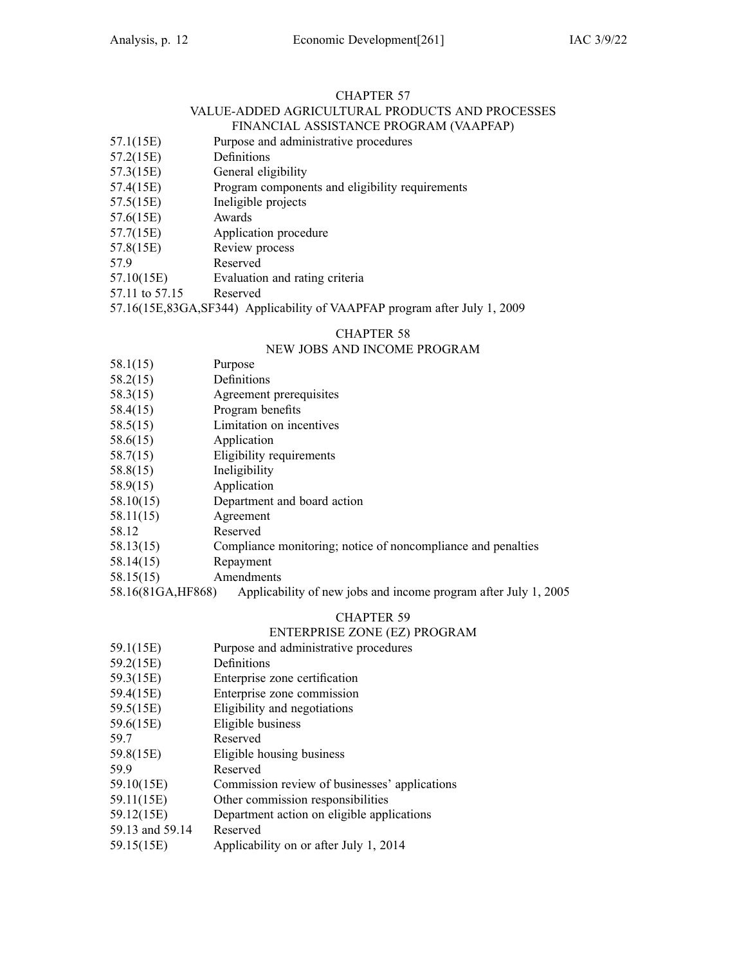#### CHAPTER 57 VALUE-ADDED AGRICULTURAL PRODUCTS AND PROCESSES FINANCIAL ASSISTANCE PROGRAM (VAAPFAP)

- 57.1(15E) Purpose and administrative procedures
- 57.2(15E) Definitions
- 57.3(15E) General eligibility
- 57.4(15E) Program components and eligibility requirements
- 57.5(15E) Ineligible projects
- 57.6(15E) Awards
- 57.7(15E) Application procedure
- 57.8(15E) Review process
- 57.9 Reserved
- 57.10(15E) Evaluation and rating criteria

57.11 to 57.15 Reserved

57.16(15E,83GA,SF344) Applicability of VAAPFAP program after July 1, 2009

### CHAPTER 58

### NEW JOBS AND INCOME PROGRAM

- 58.1(15) Purpose
- 58.2(15) Definitions
- 58.3(15) Agreement prerequisites
- 58.4(15) Program benefits
- 58.5(15) Limitation on incentives
- 58.6(15) Application
- 58.7(15) Eligibility requirements
- 58.8(15) Ineligibility
- 58.9(15) Application
- 58.10(15) Department and board action
- 58.11(15) Agreement
- 58.12 Reserved
- 58.13(15) Compliance monitoring; notice of noncompliance and penalties
- 58.14(15) Repayment
- 58.15(15) Amendments

58.16(81GA,HF868) Applicability of new jobs and income program after July 1, 2005

### CHAPTER 59

#### ENTERPRISE ZONE (EZ) PROGRAM

- 59.1(15E) Purpose and administrative procedures
- 59.2(15E) Definitions
- 59.3(15E) Enterprise zone certification
- 59.4(15E) Enterprise zone commission
- 59.5(15E) Eligibility and negotiations
- 59.6(15E) Eligible business
- 59.7 Reserved
- 59.8(15E) Eligible housing business
- 59.9 Reserved
- 59.10(15E) Commission review of businesses' applications
- 59.11(15E) Other commission responsibilities
- 59.12(15E) Department action on eligible applications
- 59.13 and 59.14 Reserved
- 59.15(15E) Applicability on or after July 1, 2014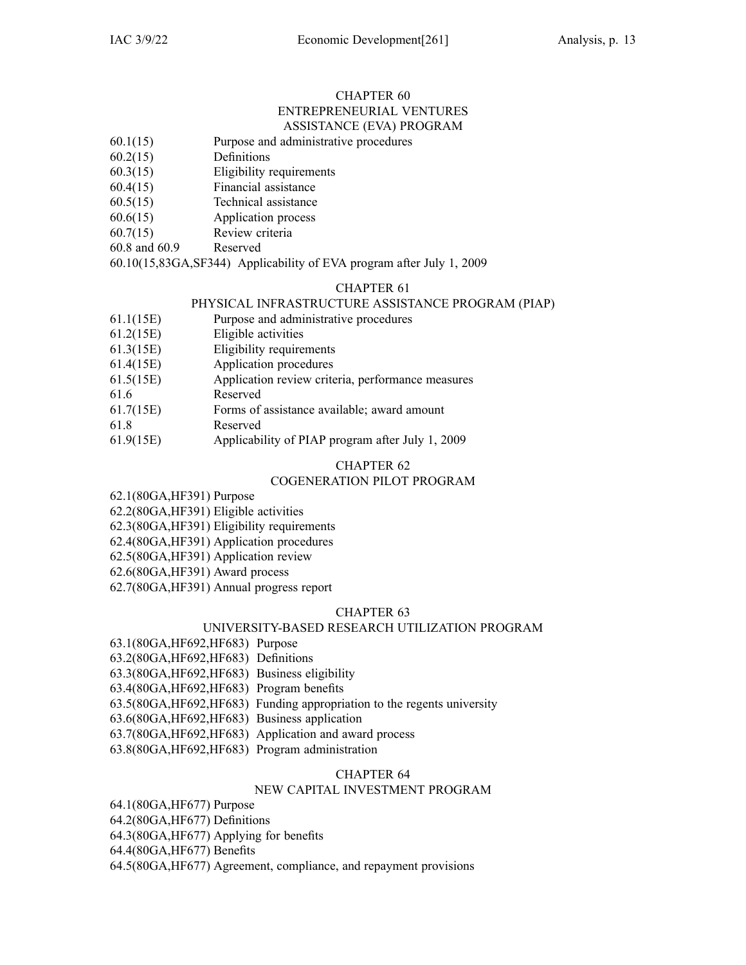#### CHAPTER 60 ENTREPRENEURIAL VENTURES ASSISTANCE (EVA) PROGRAM

- 60.1(15) Purpose and administrative procedures
- 60.2(15) Definitions
- 60.3(15) Eligibility requirements
- 60.4(15) Financial assistance
- 60.5(15) Technical assistance
- 60.6(15) Application process
- 60.7(15) Review criteria
- 60.8 and 60.9 Reserved

60.10(15,83GA,SF344) Applicability of EVA program after July 1, 2009

### CHAPTER 61

#### PHYSICAL INFRASTRUCTURE ASSISTANCE PROGRAM (PIAP)

- 61.1(15E) Purpose and administrative procedures
- 61.2(15E) Eligible activities
- 61.3(15E) Eligibility requirements
- 61.4(15E) Application procedures
- 61.5(15E) Application review criteria, performance measures
- 61.6 Reserved
- 61.7(15E) Forms of assistance available; award amount
- 61.8 Reserved
- 61.9(15E) Applicability of PIAP program after July 1, 2009

### CHAPTER 62

#### COGENERATION PILOT PROGRAM

62.1(80GA,HF391) Purpose

62.2(80GA,HF391) Eligible activities

62.3(80GA,HF391) Eligibility requirements

62.4(80GA,HF391) Application procedures

62.5(80GA,HF391) Application review

62.6(80GA,HF391) Award process

62.7(80GA,HF391) Annual progress repor<sup>t</sup>

#### CHAPTER 63

#### UNIVERSITY-BASED RESEARCH UTILIZATION PROGRAM

63.1(80GA,HF692,HF683) Purpose

63.2(80GA,HF692,HF683) Definitions

- 63.3(80GA,HF692,HF683) Business eligibility
- 63.4(80GA,HF692,HF683) Program benefits
- 63.5(80GA,HF692,HF683) Funding appropriation to the regents university
- 63.6(80GA,HF692,HF683) Business application
- 63.7(80GA,HF692,HF683) Application and award process
- 63.8(80GA,HF692,HF683) Program administration

#### CHAPTER 64

#### NEW CAPITAL INVESTMENT PROGRAM

64.1(80GA,HF677) Purpose

64.2(80GA,HF677) Definitions

64.3(80GA,HF677) Applying for benefits

64.4(80GA,HF677) Benefits

64.5(80GA,HF677) Agreement, compliance, and repaymen<sup>t</sup> provisions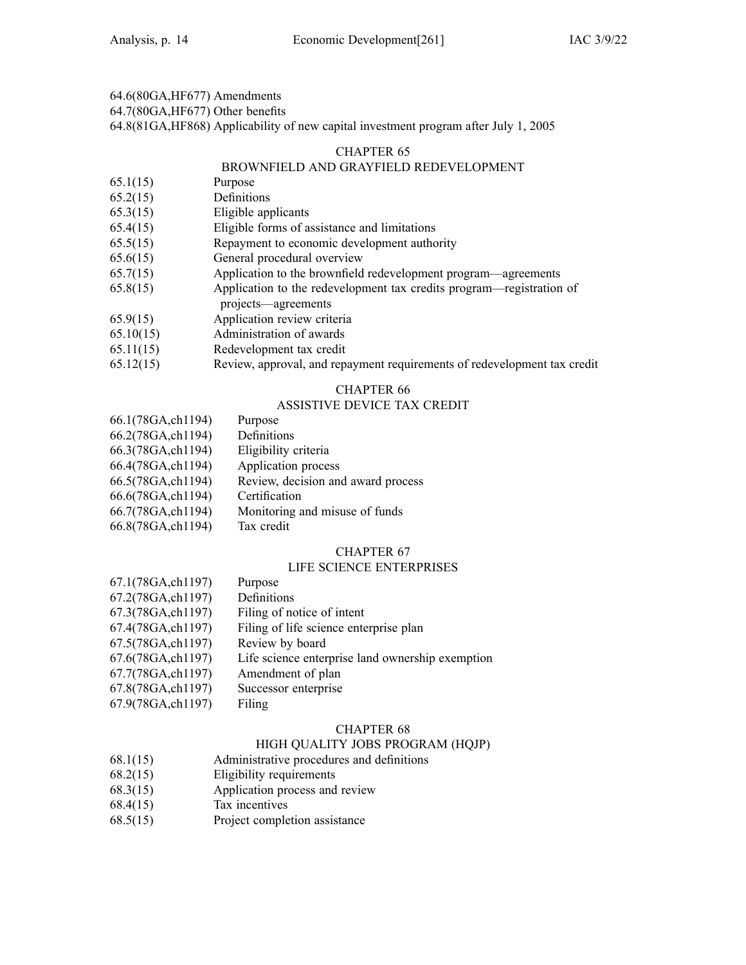64.6(80GA,HF677) Amendments

64.7(80GA,HF677) Other benefits

64.8(81GA,HF868) Applicability of new capital investment program after July 1, 2005

#### CHAPTER 65

### BROWNFIELD AND GRAYFIELD REDEVELOPMENT

- 65.1(15) Purpose
- 65.2(15) Definitions
- 65.3(15) Eligible applicants
- 65.4(15) Eligible forms of assistance and limitations
- 65.5(15) Repayment to economic development authority
- 65.6(15) General procedural overview
- 65.7(15) Application to the brownfield redevelopment program—agreements
- 65.8(15) Application to the redevelopment tax credits program—registration of projects—agreements
- 65.9(15) Application review criteria
- 65.10(15) Administration of awards
- 65.11(15) Redevelopment tax credit
- 65.12(15) Review, approval, and repaymen<sup>t</sup> requirements of redevelopment tax credit

### CHAPTER 66

### ASSISTIVE DEVICE TAX CREDIT

| 66.1(78GA,ch1194) | Purpose                            |
|-------------------|------------------------------------|
| 66.2(78GA,ch1194) | Definitions                        |
| 66.3(78GA,ch1194) | Eligibility criteria               |
| 66.4(78GA,ch1194) | Application process                |
| 66.5(78GA,ch1194) | Review, decision and award process |
| 66.6(78GA,ch1194) | Certification                      |
| 66.7(78GA,ch1194) | Monitoring and misuse of funds     |
| 66.8(78GA,ch1194) | Tax credit                         |

### CHAPTER 67

### LIFE SCIENCE ENTERPRISES

| 67.2(78GA,ch1197)<br>Definitions<br>67.3(78GA,ch1197)<br>Filing of notice of intent<br>67.4(78GA,ch1197)<br>Filing of life science enterprise plan<br>67.5(78GA,ch1197)<br>Review by board<br>67.6(78GA,ch1197)<br>67.7(78GA,ch1197)<br>Amendment of plan<br>67.8(78GA,ch1197)<br>Successor enterprise<br>67.9(78GA,ch1197)<br>Filing | 67.1(78GA,ch1197) | Purpose                                          |
|---------------------------------------------------------------------------------------------------------------------------------------------------------------------------------------------------------------------------------------------------------------------------------------------------------------------------------------|-------------------|--------------------------------------------------|
|                                                                                                                                                                                                                                                                                                                                       |                   |                                                  |
|                                                                                                                                                                                                                                                                                                                                       |                   |                                                  |
|                                                                                                                                                                                                                                                                                                                                       |                   |                                                  |
|                                                                                                                                                                                                                                                                                                                                       |                   |                                                  |
|                                                                                                                                                                                                                                                                                                                                       |                   | Life science enterprise land ownership exemption |
|                                                                                                                                                                                                                                                                                                                                       |                   |                                                  |
|                                                                                                                                                                                                                                                                                                                                       |                   |                                                  |
|                                                                                                                                                                                                                                                                                                                                       |                   |                                                  |

#### CHAPTER 68

#### HIGH QUALITY JOBS PROGRAM (HQJP)

- 68.1(15) Administrative procedures and definitions
- 68.2(15) Eligibility requirements
- 68.3(15) Application process and review
- 68.4(15) Tax incentives
- 68.5(15) Project completion assistance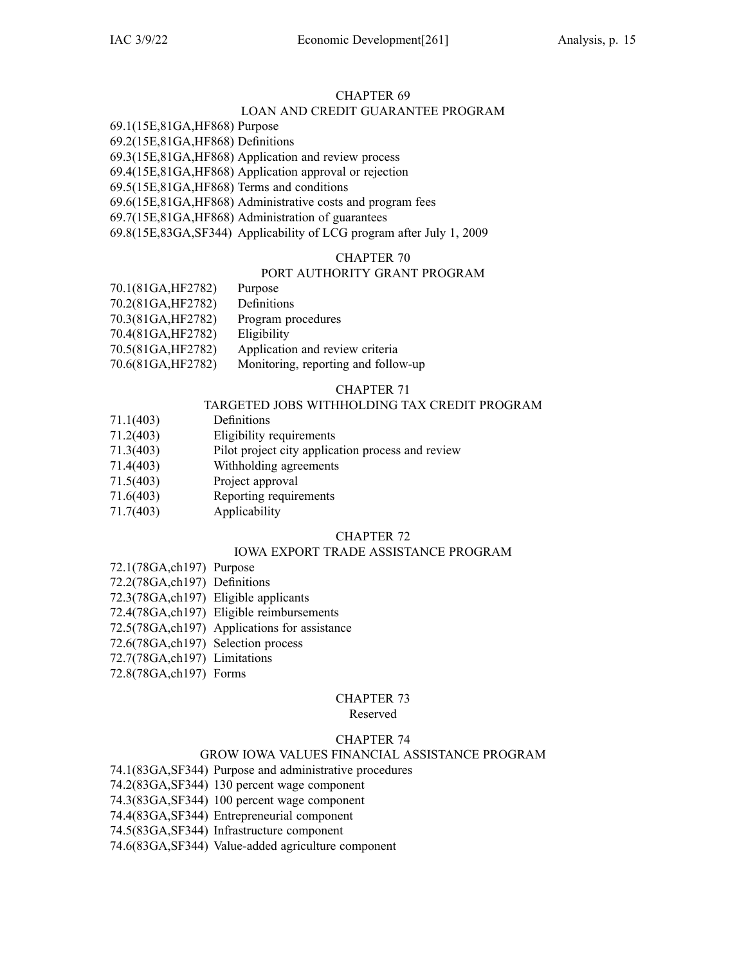### LOAN AND CREDIT GUARANTEE PROGRAM

69.1(15E,81GA,HF868) Purpose 69.2(15E,81GA,HF868) Definitions

69.3(15E,81GA,HF868) Application and review process

69.4(15E,81GA,HF868) Application approval or rejection

69.5(15E,81GA,HF868) Terms and conditions

69.6(15E,81GA,HF868) Administrative costs and program fees

69.7(15E,81GA,HF868) Administration of guarantees

69.8(15E,83GA,SF344) Applicability of LCG program after July 1, 2009

#### CHAPTER 70

#### PORT AUTHORITY GRANT PROGRAM

| 70.1(81GA, HF2782) | Purpose                             |
|--------------------|-------------------------------------|
| 70.2(81GA, HF2782) | Definitions                         |
| 70.3(81GA, HF2782) | Program procedures                  |
| 70.4(81GA, HF2782) | Eligibility                         |
| 70.5(81GA, HF2782) | Application and review criteria     |
| 70.6(81GA, HF2782) | Monitoring, reporting and follow-up |

### CHAPTER 71

### TARGETED JOBS WITHHOLDING TAX CREDIT PROGRAM

- 71.1(403) Definitions
- 71.2(403) Eligibility requirements
- 71.3(403) Pilot project city application process and review
- 71.4(403) Withholding agreements
- 71.5(403) Project approval
- 71.6(403) Reporting requirements
- 71.7(403) Applicability

### CHAPTER 72

### IOWA EXPORT TRADE ASSISTANCE PROGRAM

- 72.1(78GA,ch197) Purpose
- 72.2(78GA,ch197) Definitions
- 72.3(78GA,ch197) Eligible applicants
- 72.4(78GA,ch197) Eligible reimbursements
- 72.5(78GA,ch197) Applications for assistance
- 72.6(78GA,ch197) Selection process
- 72.7(78GA,ch197) Limitations
- 72.8(78GA,ch197) Forms

#### CHAPTER 73

#### Reserved

#### CHAPTER 74

#### GROW IOWA VALUES FINANCIAL ASSISTANCE PROGRAM

- 74.1(83GA,SF344) Purpose and administrative procedures
- 74.2(83GA,SF344) 130 percen<sup>t</sup> wage componen<sup>t</sup>
- 74.3(83GA,SF344) 100 percen<sup>t</sup> wage componen<sup>t</sup>
- 74.4(83GA,SF344) Entrepreneurial componen<sup>t</sup>

74.5(83GA,SF344) Infrastructure componen<sup>t</sup>

74.6(83GA,SF344) Value-added agriculture componen<sup>t</sup>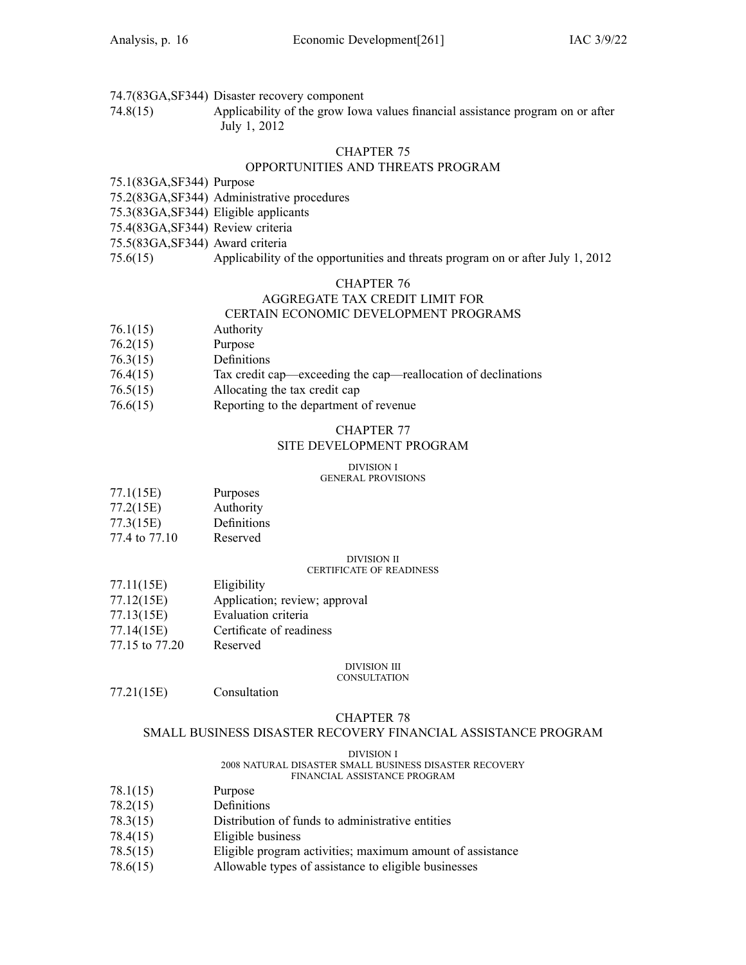- 74.7(83GA,SF344) Disaster recovery componen<sup>t</sup>
- 74.8(15) Applicability of the grow Iowa values financial assistance program on or after July 1, 2012

#### OPPORTUNITIES AND THREATS PROGRAM

#### 75.1(83GA,SF344) Purpose

- 75.2(83GA,SF344) Administrative procedures
- 75.3(83GA,SF344) Eligible applicants
- 75.4(83GA,SF344) Review criteria
- 75.5(83GA,SF344) Award criteria
- 75.6(15) Applicability of the opportunities and threats program on or after July 1, 2012

#### CHAPTER 76

### AGGREGATE TAX CREDIT LIMIT FOR CERTAIN ECONOMIC DEVELOPMENT PROGRAMS

- 76.1(15) Authority
- 76.2(15) Purpose
- 76.3(15) Definitions
- 76.4(15) Tax credit cap—exceeding the cap—reallocation of declinations
- 76.5(15) Allocating the tax credit cap
- 76.6(15) Reporting to the department of revenue

#### CHAPTER 77

#### SITE DEVELOPMENT PROGRAM

### DIVISION I

#### GENERAL PROVISIONS

| 77.1(15E) | Purposes |
|-----------|----------|
|           |          |

- 77.2(15E) Authority
- 77.3(15E) Definitions
- 77.4 to 77.10 Reserved

#### DIVISION II

### CERTIFICATE OF READINESS

- 77.11(15E) Eligibility
- 77.12(15E) Application; review; approval
- 77.13(15E) Evaluation criteria
- 77.14(15E) Certificate of readiness
- 77.15 to 77.20 Reserved

### DIVISION III

#### **CONSULTATION**

77.21(15E) Consultation

### CHAPTER 78

#### SMALL BUSINESS DISASTER RECOVERY FINANCIAL ASSISTANCE PROGRAM

#### DIVISION I

#### 2008 NATURAL DISASTER SMALL BUSINESS DISASTER RECOVERY FINANCIAL ASSISTANCE PROGRAM

- 78.1(15) Purpose
- 78.2(15) Definitions
- 78.3(15) Distribution of funds to administrative entities
- 78.4(15) Eligible business
- 78.5(15) Eligible program activities; maximum amount of assistance
- 78.6(15) Allowable types of assistance to eligible businesses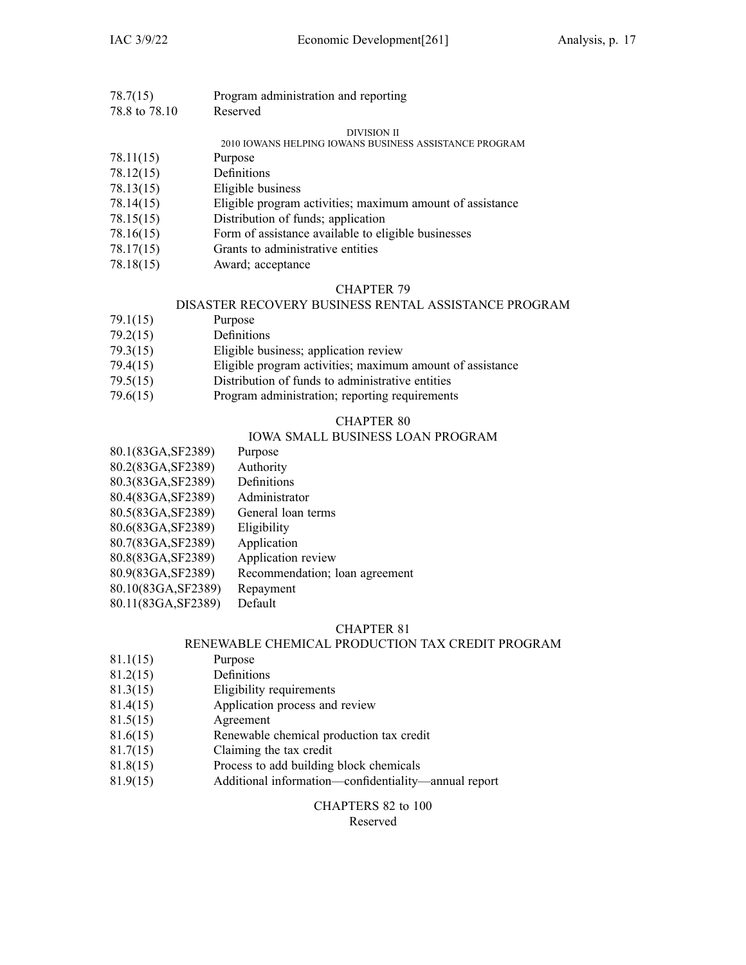| 78.7(15)     | Program administration and reporting |
|--------------|--------------------------------------|
| $700 + 7010$ | $D$ accuracy                         |

78.8 to 78.10 Reserved

### DIVISION II

2010 IOWANS HELPING IOWANS BUSINESS ASSISTANCE PROGRAM

- 78.11(15) Purpose
- 78.12(15) Definitions
- 78.13(15) Eligible business
- 78.14(15) Eligible program activities; maximum amount of assistance
- 78.15(15) Distribution of funds; application
- 78.16(15) Form of assistance available to eligible businesses
- 78.17(15) Grants to administrative entities
- 78.18(15) Award; acceptance

#### CHAPTER 79

#### DISASTER RECOVERY BUSINESS RENTAL ASSISTANCE PROGRAM

- 79.1(15) Purpose
- 79.2(15) Definitions
- 79.3(15) Eligible business; application review
- 79.4(15) Eligible program activities; maximum amount of assistance
- 79.5(15) Distribution of funds to administrative entities
- 79.6(15) Program administration; reporting requirements

#### CHAPTER 80

### IOWA SMALL BUSINESS LOAN PROGRAM

- 80.1(83GA,SF2389) Purpose 80.2(83GA,SF2389) Authority
- 80.3(83GA,SF2389) Definitions
- 80.4(83GA,SF2389) Administrator
- 80.5(83GA,SF2389) General loan terms
- 80.6(83GA,SF2389) Eligibility
- 80.7(83GA,SF2389) Application
- 80.8(83GA,SF2389) Application review
- 80.9(83GA,SF2389) Recommendation; loan agreemen<sup>t</sup>
- 80.10(83GA,SF2389) Repayment
- 80.11(83GA,SF2389) Default

#### CHAPTER 81

#### RENEWABLE CHEMICAL PRODUCTION TAX CREDIT PROGRAM

- 81.1(15) Purpose
- 81.2(15) Definitions
- 81.3(15) Eligibility requirements
- 81.4(15) Application process and review
- 81.5(15) Agreement
- 81.6(15) Renewable chemical production tax credit
- 81.7(15) Claiming the tax credit
- 81.8(15) Process to add building block chemicals
- 81.9(15) Additional information—confidentiality—annual repor<sup>t</sup>

#### CHAPTERS 82 to 100 Reserved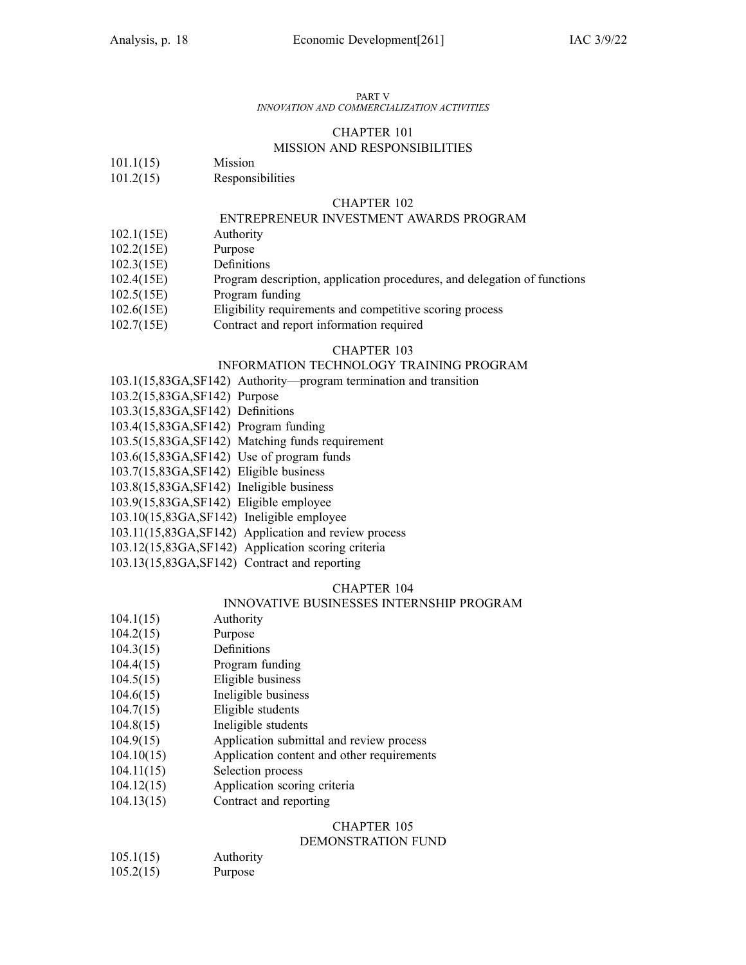#### PART V

#### *INNOVATION AND COMMERCIALIZATION ACTIVITIES*

#### CHAPTER 101 MISSION AND RESPONSIBILITIES

- 101.1(15) Mission
- 101.2(15) Responsibilities

#### CHAPTER 102

#### ENTREPRENEUR INVESTMENT AWARDS PROGRAM

- 102.1(15E) Authority
- 102.2(15E) Purpose
- 102.3(15E) Definitions
- 102.4(15E) Program description, application procedures, and delegation of functions
- 102.5(15E) Program funding
- 102.6(15E) Eligibility requirements and competitive scoring process
- 102.7(15E) Contract and repor<sup>t</sup> information required

#### CHAPTER 103

#### INFORMATION TECHNOLOGY TRAINING PROGRAM

- 103.1(15,83GA,SF142) Authority—program termination and transition
- 103.2(15,83GA,SF142) Purpose
- 103.3(15,83GA,SF142) Definitions
- 103.4(15,83GA,SF142) Program funding
- 103.5(15,83GA,SF142) Matching funds requirement
- 103.6(15,83GA,SF142) Use of program funds
- 103.7(15,83GA,SF142) Eligible business
- 103.8(15,83GA,SF142) Ineligible business
- 103.9(15,83GA,SF142) Eligible employee
- 103.10(15,83GA,SF142) Ineligible employee
- 103.11(15,83GA,SF142) Application and review process
- 103.12(15,83GA,SF142) Application scoring criteria
- 103.13(15,83GA,SF142) Contract and reporting

#### CHAPTER 104

#### INNOVATIVE BUSINESSES INTERNSHIP PROGRAM

- 104.1(15) Authority
- 104.2(15) Purpose
- 104.3(15) Definitions
- 104.4(15) Program funding
- 104.5(15) Eligible business
- 104.6(15) Ineligible business
- 104.7(15) Eligible students
- 104.8(15) Ineligible students
- 104.9(15) Application submittal and review process
- 104.10(15) Application content and other requirements
- 104.11(15) Selection process
- 104.12(15) Application scoring criteria
- 104.13(15) Contract and reporting

#### CHAPTER 105

#### DEMONSTRATION FUND

105.2(15) Purpose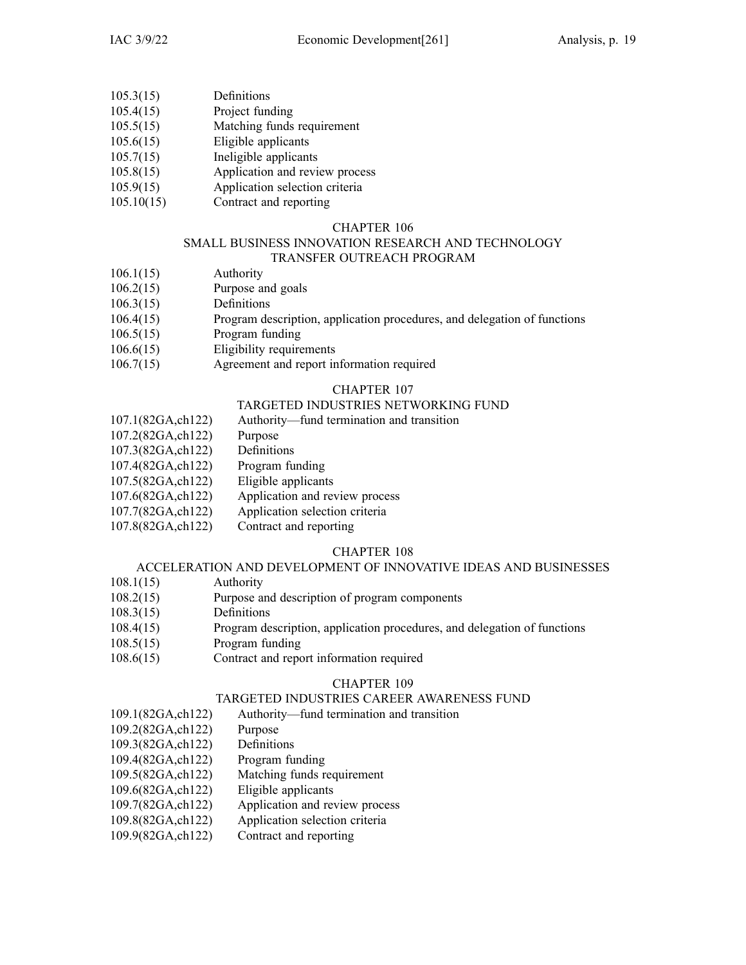- 105.3(15) Definitions
- 105.4(15) Project funding
- 105.5(15) Matching funds requirement
- 105.6(15) Eligible applicants
- 105.7(15) Ineligible applicants
- 105.8(15) Application and review process
- 105.9(15) Application selection criteria
- 105.10(15) Contract and reporting

#### SMALL BUSINESS INNOVATION RESEARCH AND TECHNOLOGY TRANSFER OUTREACH PROGRAM

- 106.1(15) Authority
- 106.2(15) Purpose and goals
- 106.3(15) Definitions
- 106.4(15) Program description, application procedures, and delegation of functions
- 106.5(15) Program funding
- 106.6(15) Eligibility requirements
- 106.7(15) Agreement and repor<sup>t</sup> information required

#### CHAPTER 107

#### TARGETED INDUSTRIES NETWORKING FUND

- 107.1(82GA,ch122) Authority—fund termination and transition
- 107.2(82GA,ch122) Purpose
- 107.3(82GA,ch122) Definitions
- 107.4(82GA,ch122) Program funding
- 107.5(82GA,ch122) Eligible applicants
- 107.6(82GA,ch122) Application and review process
- 107.7(82GA,ch122) Application selection criteria
- 107.8(82GA,ch122) Contract and reporting

#### CHAPTER 108

#### ACCELERATION AND DEVELOPMENT OF INNOVATIVE IDEAS AND BUSINESSES

- 108.1(15) Authority
- 108.2(15) Purpose and description of program components
- 108.3(15) Definitions
- 108.4(15) Program description, application procedures, and delegation of functions
- 108.5(15) Program funding
- 108.6(15) Contract and repor<sup>t</sup> information required

### CHAPTER 109

#### TARGETED INDUSTRIES CAREER AWARENESS FUND

- 109.1(82GA,ch122) Authority—fund termination and transition
- 109.2(82GA,ch122) Purpose
- 109.3(82GA,ch122) Definitions
- 109.4(82GA,ch122) Program funding
- 109.5(82GA,ch122) Matching funds requirement
- 109.6(82GA,ch122) Eligible applicants
- 109.7(82GA,ch122) Application and review process
- 109.8(82GA,ch122) Application selection criteria
- 109.9(82GA,ch122) Contract and reporting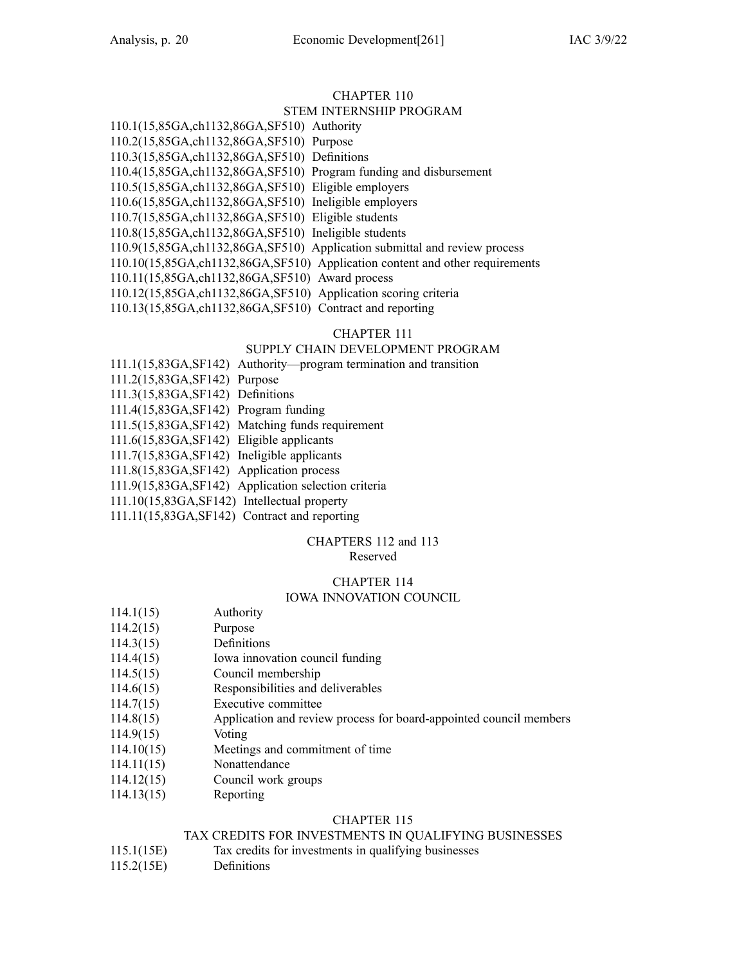STEM INTERNSHIP PROGRAM 110.1(15,85GA,ch1132,86GA,SF510) Authority 110.2(15,85GA,ch1132,86GA,SF510) Purpose 110.3(15,85GA,ch1132,86GA,SF510) Definitions 110.4(15,85GA,ch1132,86GA,SF510) Program funding and disbursement 110.5(15,85GA,ch1132,86GA,SF510) Eligible employers 110.6(15,85GA,ch1132,86GA,SF510) Ineligible employers 110.7(15,85GA,ch1132,86GA,SF510) Eligible students 110.8(15,85GA,ch1132,86GA,SF510) Ineligible students 110.9(15,85GA,ch1132,86GA,SF510) Application submittal and review process 110.10(15,85GA,ch1132,86GA,SF510) Application content and other requirements 110.11(15,85GA,ch1132,86GA,SF510) Award process 110.12(15,85GA,ch1132,86GA,SF510) Application scoring criteria 110.13(15,85GA,ch1132,86GA,SF510) Contract and reporting

#### CHAPTER 111

### SUPPLY CHAIN DEVELOPMENT PROGRAM

#### 111.1(15,83GA,SF142) Authority—program termination and transition

- 111.2(15,83GA,SF142) Purpose
- 111.3(15,83GA,SF142) Definitions
- 111.4(15,83GA,SF142) Program funding
- 111.5(15,83GA,SF142) Matching funds requirement
- 111.6(15,83GA,SF142) Eligible applicants
- 111.7(15,83GA,SF142) Ineligible applicants
- 111.8(15,83GA,SF142) Application process
- 111.9(15,83GA,SF142) Application selection criteria
- 111.10(15,83GA,SF142) Intellectual property
- 111.11(15,83GA,SF142) Contract and reporting

### CHAPTERS 112 and 113

#### Reserved

### CHAPTER 114

### IOWA INNOVATION COUNCIL

- 114.1(15) Authority
- 114.2(15) Purpose
- 114.3(15) Definitions
- 114.4(15) Iowa innovation council funding
- 114.5(15) Council membership
- 114.6(15) Responsibilities and deliverables
- 114.7(15) Executive committee
- 114.8(15) Application and review process for board-appointed council members
- 114.9(15) Voting
- 114.10(15) Meetings and commitment of time
- 114.11(15) Nonattendance
- 114.12(15) Council work groups
- 114.13(15) Reporting

### CHAPTER 115

#### TAX CREDITS FOR INVESTMENTS IN QUALIFYING BUSINESSES

- 115.1(15E) Tax credits for investments in qualifying businesses
- 115.2(15E) Definitions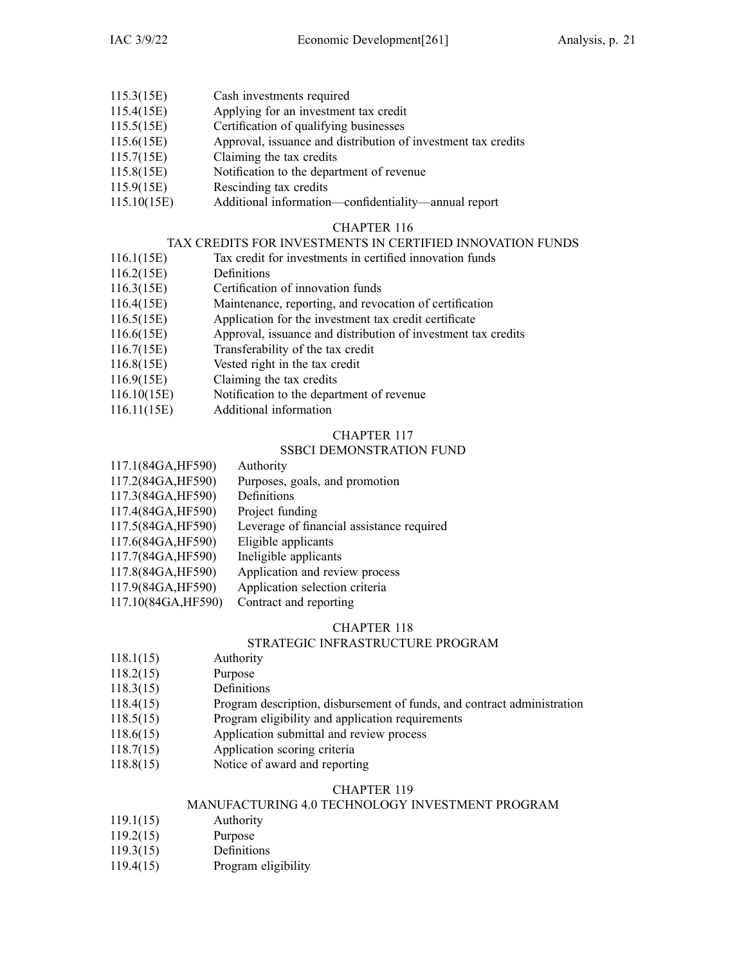- 115.3(15E) Cash investments required
- 115.4(15E) Applying for an investment tax credit
- 115.5(15E) Certification of qualifying businesses
- 115.6(15E) Approval, issuance and distribution of investment tax credits
- 115.7(15E) Claiming the tax credits
- 115.8(15E) Notification to the department of revenue
- 115.9(15E) Rescinding tax credits
- 115.10(15E) Additional information—confidentiality—annual repor<sup>t</sup>

### TAX CREDITS FOR INVESTMENTS IN CERTIFIED INNOVATION FUNDS

- 116.1(15E) Tax credit for investments in certified innovation funds
- 116.2(15E) Definitions
- 116.3(15E) Certification of innovation funds
- 116.4(15E) Maintenance, reporting, and revocation of certification
- 116.5(15E) Application for the investment tax credit certificate
- 116.6(15E) Approval, issuance and distribution of investment tax credits
- 116.7(15E) Transferability of the tax credit
- 116.8(15E) Vested right in the tax credit
- 116.9(15E) Claiming the tax credits
- 116.10(15E) Notification to the department of revenue
- 116.11(15E) Additional information

#### CHAPTER 117

#### SSBCI DEMONSTRATION FUND

117.1(84GA,HF590) Authority 117.2(84GA,HF590) Purposes, goals, and promotion 117.3(84GA,HF590) Definitions 117.4(84GA,HF590) Project funding 117.5(84GA,HF590) Leverage of financial assistance required 117.6(84GA,HF590) Eligible applicants 117.7(84GA,HF590) Ineligible applicants 117.8(84GA,HF590) Application and review process 117.9(84GA,HF590) Application selection criteria 117.10(84GA,HF590) Contract and reporting

#### CHAPTER 118

#### STRATEGIC INFRASTRUCTURE PROGRAM

- 118.1(15) Authority
- 118.2(15) Purpose
- 118.3(15) Definitions
- 118.4(15) Program description, disbursement of funds, and contract administration
- 118.5(15) Program eligibility and application requirements
- 118.6(15) Application submittal and review process
- 118.7(15) Application scoring criteria
- 118.8(15) Notice of award and reporting

#### CHAPTER 119

#### MANUFACTURING 4.0 TECHNOLOGY INVESTMENT PROGRAM

- 119.1(15) Authority
- 119.2(15) Purpose
- 119.3(15) Definitions
- 119.4(15) Program eligibility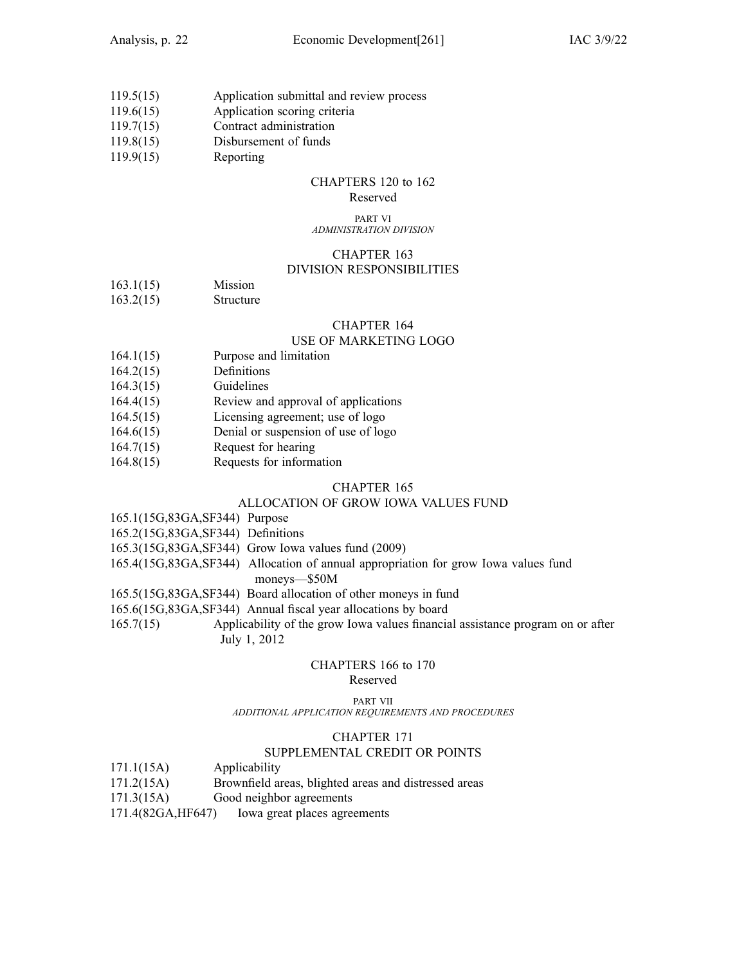- 119.5(15) Application submittal and review process
- 119.6(15) Application scoring criteria
- 119.7(15) Contract administration
- 119.8(15) Disbursement of funds
- 119.9(15) Reporting

## CHAPTERS 120 to 162

### Reserved

#### PART VI *ADMINISTRATION DIVISION*

### CHAPTER 163

#### DIVISION RESPONSIBILITIES

- 163.1(15) Mission
- 163.2(15) Structure

#### CHAPTER 164

### USE OF MARKETING LOGO

- 164.1(15) Purpose and limitation
- 164.2(15) Definitions
- 164.3(15) Guidelines
- 164.4(15) Review and approval of applications
- 164.5(15) Licensing agreement; use of logo
- 164.6(15) Denial or suspension of use of logo
- 164.7(15) Request for hearing
- 164.8(15) Requests for information

#### CHAPTER 165

### ALLOCATION OF GROW IOWA VALUES FUND

| 165.1(15G,83GA,SF344) Purpose |  |
|-------------------------------|--|
|-------------------------------|--|

- 165.2(15G,83GA,SF344) Definitions
- 165.3(15G,83GA,SF344) Grow Iowa values fund (2009)
- 165.4(15G,83GA,SF344) Allocation of annual appropriation for grow Iowa values fund
	- moneys—\$50M
- 165.5(15G,83GA,SF344) Board allocation of other moneys in fund
- 165.6(15G,83GA,SF344) Annual fiscal year allocations by board

165.7(15) Applicability of the grow Iowa values financial assistance program on or after July 1, 2012

### CHAPTERS 166 to 170

### Reserved

PART VII *ADDITIONAL APPLICATION REQUIREMENTS AND PROCEDURES*

#### CHAPTER 171

#### SUPPLEMENTAL CREDIT OR POINTS

- 171.1(15A) Applicability
- 171.2(15A) Brownfield areas, blighted areas and distressed areas
- 171.3(15A) Good neighbor agreements
- 171.4(82GA,HF647) Iowa grea<sup>t</sup> places agreements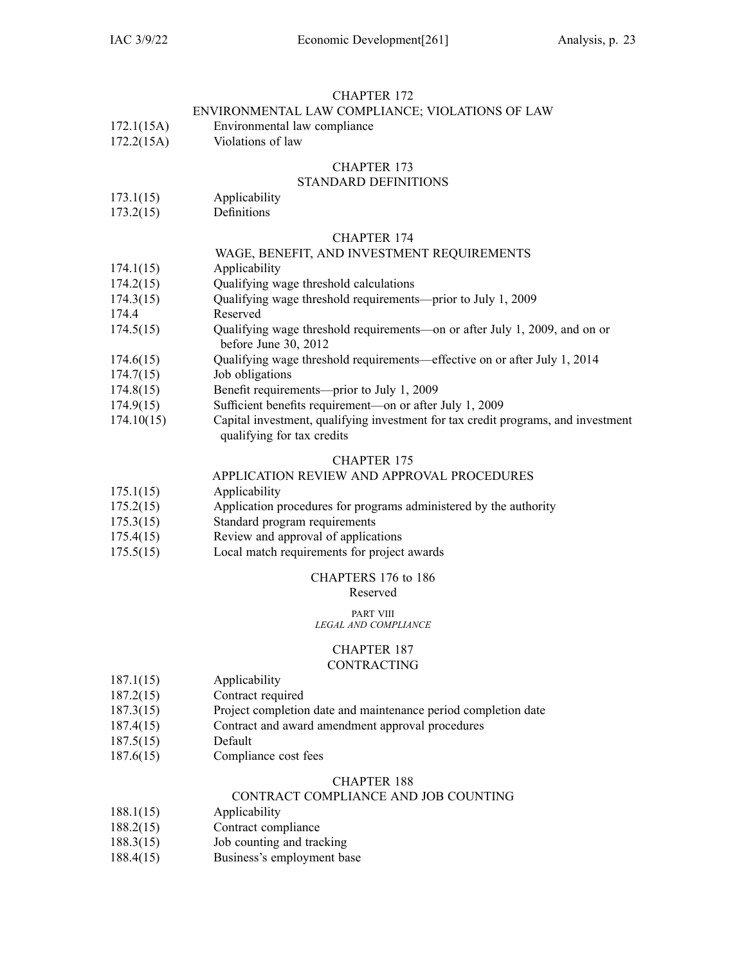#### ENVIRONMENTAL LAW COMPLIANCE; VIOLATIONS OF LAW

- 172.1(15A) Environmental law compliance
- 172.2(15A) Violations of law

#### CHAPTER 173

### STANDARD DEFINITIONS

- 173.1(15) Applicability
- 173.2(15) Definitions

#### CHAPTER 174

#### WAGE, BENEFIT, AND INVESTMENT REQUIREMENTS

- 174.1(15) Applicability
- 174.2(15) Qualifying wage threshold calculations
- 174.3(15) Qualifying wage threshold requirements—prior to July 1, 2009
- 174.4 Reserved
- 174.5(15) Qualifying wage threshold requirements—on or after July 1, 2009, and on or before June 30, 2012
- 174.6(15) Qualifying wage threshold requirements—effective on or after July 1, 2014
- 174.7(15) Job obligations
- 174.8(15) Benefit requirements—prior to July 1, 2009
- 174.9(15) Sufficient benefits requirement—on or after July 1, 2009
- 174.10(15) Capital investment, qualifying investment for tax credit programs, and investment qualifying for tax credits

#### CHAPTER 175

#### APPLICATION REVIEW AND APPROVAL PROCEDURES

- 175.1(15) Applicability
- 175.2(15) Application procedures for programs administered by the authority
- 175.3(15) Standard program requirements
- 175.4(15) Review and approval of applications
- 175.5(15) Local match requirements for project awards

### CHAPTERS 176 to 186

Reserved

#### PART VIII

#### *LEGAL AND COMPLIANCE*

### CHAPTER 187

#### CONTRACTING

- 187.1(15) Applicability
- 187.2(15) Contract required
- 187.3(15) Project completion date and maintenance period completion date
- 187.4(15) Contract and award amendment approval procedures
- 187.5(15) Default
- 187.6(15) Compliance cost fees

#### CHAPTER 188

#### CONTRACT COMPLIANCE AND JOB COUNTING

- 188.1(15) Applicability
- 188.2(15) Contract compliance
- 188.3(15) Job counting and tracking
- 188.4(15) Business's employment base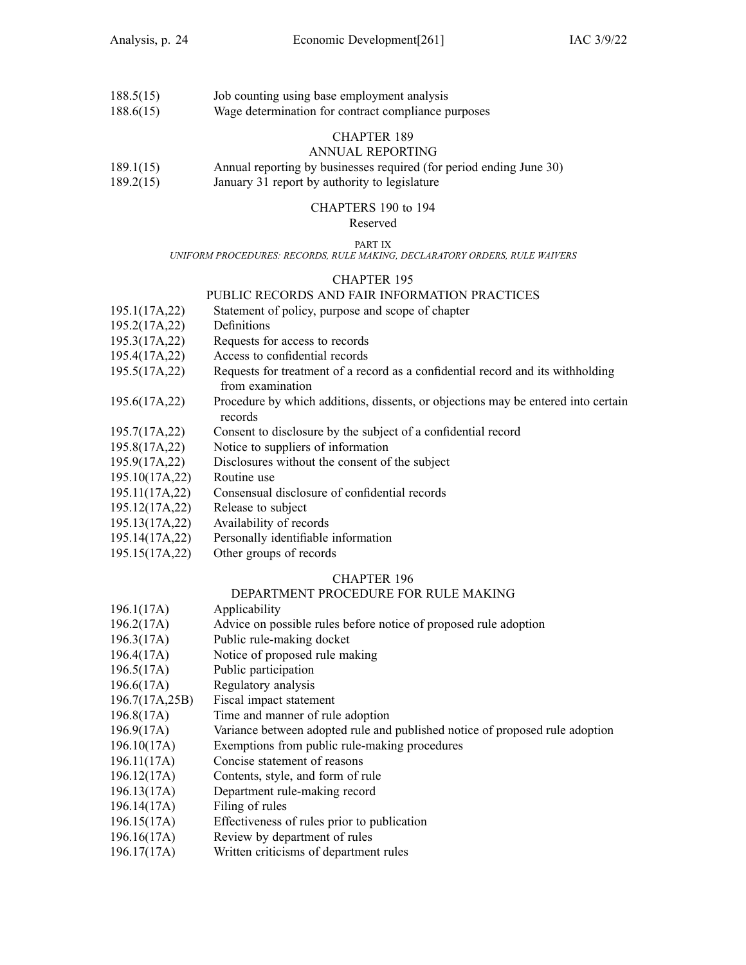| 188.5(15) | Job counting using base employment analysis         |
|-----------|-----------------------------------------------------|
| 188.6(15) | Wage determination for contract compliance purposes |

#### ANNUAL REPORTING

- 189.1(15) Annual reporting by businesses required (for period ending June 30)
- 189.2(15) January 31 repor<sup>t</sup> by authority to legislature

### CHAPTERS 190 to 194

### Reserved

### PART IX

*UNIFORM PROCEDURES: RECORDS, RULE MAKING, DECLARATORY ORDERS, RULE WAIVERS*

#### CHAPTER 195

#### PUBLIC RECORDS AND FAIR INFORMATION PRACTICES

- 195.1(17A,22) Statement of policy, purpose and scope of chapter
- 195.2(17A,22) Definitions
- 195.3(17A,22) Requests for access to records
- 195.4(17A,22) Access to confidential records
- 195.5(17A,22) Requests for treatment of <sup>a</sup> record as <sup>a</sup> confidential record and its withholding from examination
- 195.6(17A,22) Procedure by which additions, dissents, or objections may be entered into certain records
- 195.7(17A,22) Consent to disclosure by the subject of <sup>a</sup> confidential record
- 195.8(17A,22) Notice to suppliers of information
- 195.9(17A,22) Disclosures without the consent of the subject
- 195.10(17A,22) Routine use
- 195.11(17A,22) Consensual disclosure of confidential records
- 195.12(17A,22) Release to subject
- 195.13(17A,22) Availability of records
- 195.14(17A,22) Personally identifiable information
- 195.15(17A,22) Other groups of records

#### CHAPTER 196

#### DEPARTMENT PROCEDURE FOR RULE MAKING

| 196.1(17A) | Applicability |
|------------|---------------|
|            |               |

- 196.2(17A) Advice on possible rules before notice of proposed rule adoption
- 196.3(17A) Public rule-making docket
- 196.4(17A) Notice of proposed rule making
- 196.5(17A) Public participation
- 196.6(17A) Regulatory analysis
- 196.7(17A,25B) Fiscal impact statement
- 196.8(17A) Time and manner of rule adoption
- 196.9(17A) Variance between adopted rule and published notice of proposed rule adoption
- 196.10(17A) Exemptions from public rule-making procedures
- 196.11(17A) Concise statement of reasons
- 196.12(17A) Contents, style, and form of rule
- 196.13(17A) Department rule-making record
- 196.14(17A) Filing of rules
- 196.15(17A) Effectiveness of rules prior to publication
- 196.16(17A) Review by department of rules
- 196.17(17A) Written criticisms of department rules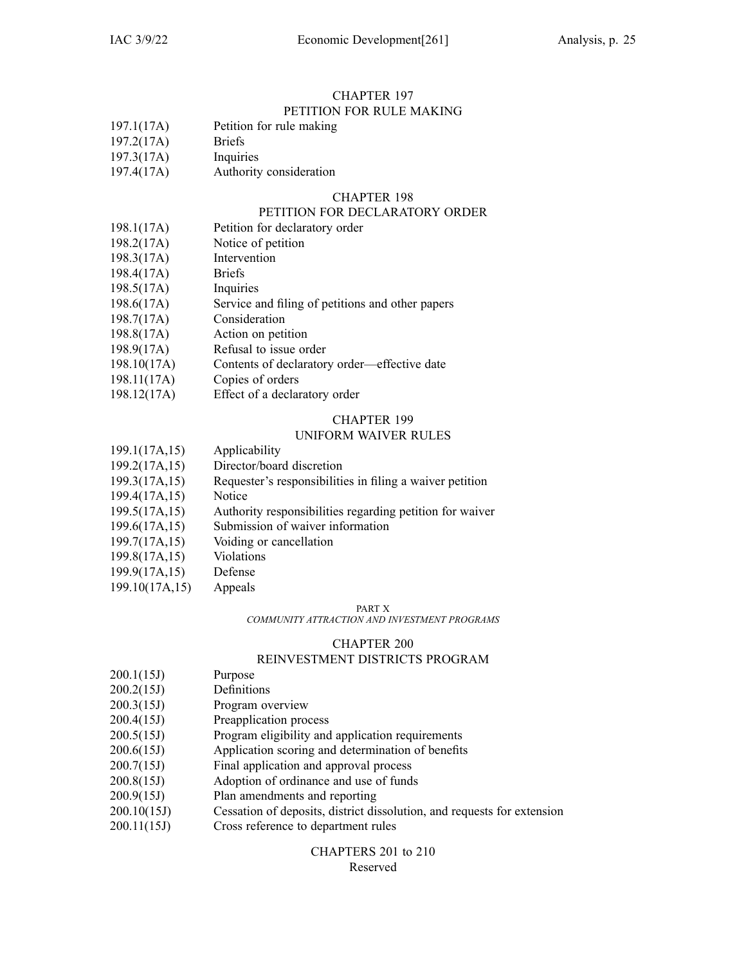#### CHAPTER 197 PETITION FOR RULE MAKING

### 197.1(17A) Petition for rule making

- 197.2(17A) Briefs
- 197.3(17A) Inquiries
- 197.4(17A) Authority consideration

#### CHAPTER 198

#### PETITION FOR DECLARATORY ORDER

- 198.1(17A) Petition for declaratory order
- 198.2(17A) Notice of petition
- 198.3(17A) Intervention
- 198.4(17A) Briefs
- 198.5(17A) Inquiries
- 198.6(17A) Service and filing of petitions and other papers
- 198.7(17A) Consideration
- 198.8(17A) Action on petition
- 198.9(17A) Refusal to issue order
- 198.10(17A) Contents of declaratory order—effective date
- 198.11(17A) Copies of orders
- 198.12(17A) Effect of <sup>a</sup> declaratory order

#### CHAPTER 199

#### UNIFORM WAIVER RULES

| 199.1(17A,15)  | Applicability                                            |
|----------------|----------------------------------------------------------|
| 199.2(17A,15)  | Director/board discretion                                |
| 199.3(17A,15)  | Requester's responsibilities in filing a waiver petition |
| 199.4(17A,15)  | Notice                                                   |
| 199.5(17A,15)  | Authority responsibilities regarding petition for waiver |
| 199.6(17A,15)  | Submission of waiver information                         |
| 199.7(17A,15)  | Voiding or cancellation                                  |
| 199.8(17A,15)  | Violations                                               |
| 199.9(17A,15)  | Defense                                                  |
| 199.10(17A,15) | Appeals                                                  |

#### PART X

*COMMUNITY ATTRACTION AND INVESTMENT PROGRAMS*

#### CHAPTER 200

### REINVESTMENT DISTRICTS PROGRAM

- 200.1(15J) Purpose
- 200.2(15J) Definitions
- 200.3(15J) Program overview
- 200.4(15J) Preapplication process
- 200.5(15J) Program eligibility and application requirements
- 200.6(15J) Application scoring and determination of benefits
- 200.7(15J) Final application and approval process
- 200.8(15J) Adoption of ordinance and use of funds
- 200.9(15J) Plan amendments and reporting
- 200.10(15J) Cessation of deposits, district dissolution, and requests for extension
- 200.11(15J) Cross reference to department rules

#### CHAPTERS 201 to 210 Reserved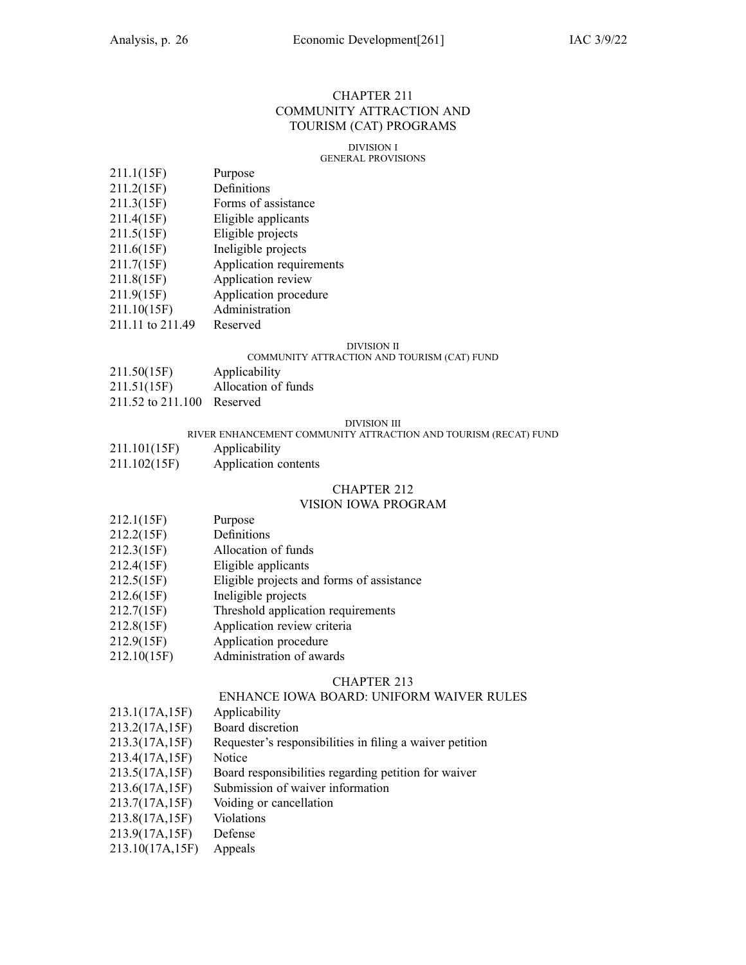#### CHAPTER 211 COMMUNITY ATTRACTION AND TOURISM (CAT) PROGRAMS

### DIVISION I

#### GENERAL PROVISIONS

- 211.1(15F) Purpose
- 211.2(15F) Definitions
- 211.3(15F) Forms of assistance
- 211.4(15F) Eligible applicants
- 211.5(15F) Eligible projects
- 211.6(15F) Ineligible projects
- 211.7(15F) Application requirements
- 211.8(15F) Application review
- 211.9(15F) Application procedure
- 211.10(15F) Administration
- 211.11 to 211.49 Reserved

#### DIVISION II

#### COMMUNITY ATTRACTION AND TOURISM (CAT) FUND

- 211.50(15F) Applicability
- 211.51(15F) Allocation of funds
- 211.52 to 211.100 Reserved

#### DIVISION III

#### RIVER ENHANCEMENT COMMUNITY ATTRACTION AND TOURISM (RECAT) FUND

- 211.101(15F) Applicability
- 211.102(15F) Application contents

#### CHAPTER 212

#### VISION IOWA PROGRAM

- 212.1(15F) Purpose
- 212.2(15F) Definitions
- 212.3(15F) Allocation of funds
- 212.4(15F) Eligible applicants
- 212.5(15F) Eligible projects and forms of assistance
- 212.6(15F) Ineligible projects
- 212.7(15F) Threshold application requirements
- 212.8(15F) Application review criteria
- 212.9(15F) Application procedure
- 212.10(15F) Administration of awards

#### CHAPTER 213

#### ENHANCE IOWA BOARD: UNIFORM WAIVER RULES

- 213.1(17A,15F) Applicability
- 213.2(17A,15F) Board discretion
- 213.3(17A,15F) Requester's responsibilities in filing <sup>a</sup> waiver petition
- 213.4(17A,15F) Notice
- 213.5(17A,15F) Board responsibilities regarding petition for waiver
- 213.6(17A,15F) Submission of waiver information
- 213.7(17A,15F) Voiding or cancellation
- 213.8(17A,15F) Violations
- 213.9(17A,15F) Defense
- 213.10(17A,15F) Appeals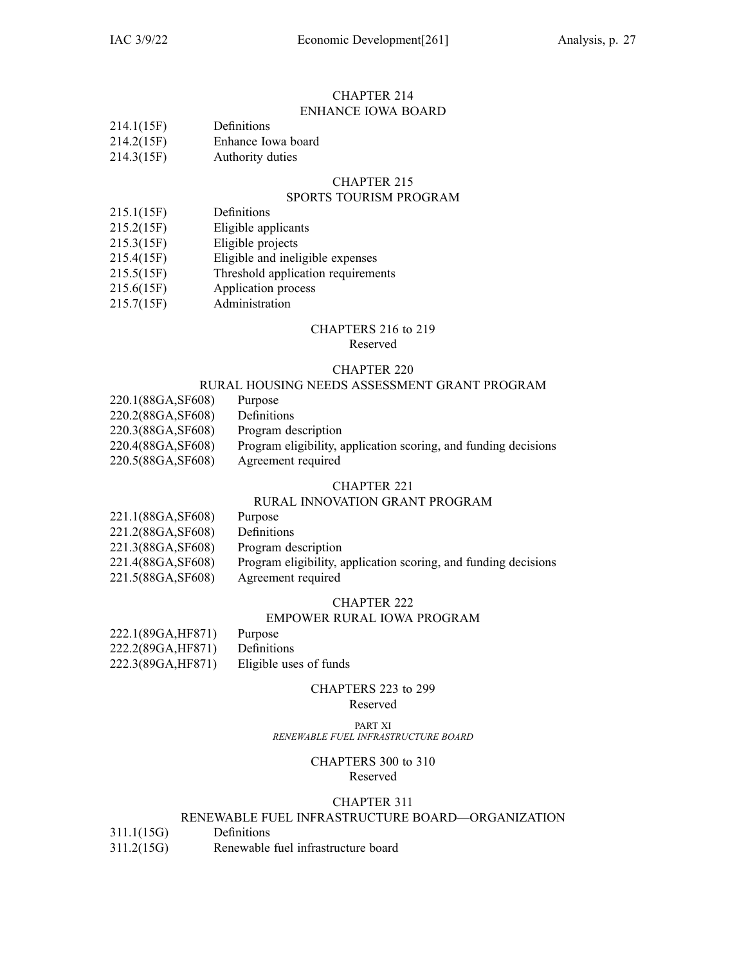#### CHAPTER 214 ENHANCE IOWA BOARD

| Definitions |
|-------------|
|             |

| 214.2(15F) | Enhance Iowa board |  |  |
|------------|--------------------|--|--|
|------------|--------------------|--|--|

214.3(15F) Authority duties

#### CHAPTER 215

### SPORTS TOURISM PROGRAM

- 215.1(15F) Definitions
- 215.2(15F) Eligible applicants
- 215.3(15F) Eligible projects
- 215.4(15F) Eligible and ineligible expenses
- 215.5(15F) Threshold application requirements
- 215.6(15F) Application process
- 215.7(15F) Administration

### CHAPTERS 216 to 219

#### Reserved

#### CHAPTER 220

### RURAL HOUSING NEEDS ASSESSMENT GRANT PROGRAM

220.1(88GA,SF608) Purpose 220.2(88GA,SF608) Definitions 220.3(88GA,SF608) Program description 220.4(88GA,SF608) Program eligibility, application scoring, and funding decisions 220.5(88GA,SF608) Agreement required

#### CHAPTER 221

### RURAL INNOVATION GRANT PROGRAM

- 221.1(88GA,SF608) Purpose
- 221.2(88GA,SF608) Definitions
- 221.3(88GA,SF608) Program description
- 221.4(88GA,SF608) Program eligibility, application scoring, and funding decisions
- 221.5(88GA,SF608) Agreement required

#### CHAPTER 222

#### EMPOWER RURAL IOWA PROGRAM

| 222.1(89GA, HF871) | Purpose                |
|--------------------|------------------------|
| 222.2(89GA, HF871) | Definitions            |
| 222.3(89GA, HF871) | Eligible uses of funds |

### CHAPTERS 223 to 299

### Reserved

#### PART XI *RENEWABLE FUEL INFRASTRUCTURE BOARD*

#### CHAPTERS 300 to 310 Reserved

### CHAPTER 311

### RENEWABLE FUEL INFRASTRUCTURE BOARD—ORGANIZATION

- 311.1(15G) Definitions
- 311.2(15G) Renewable fuel infrastructure board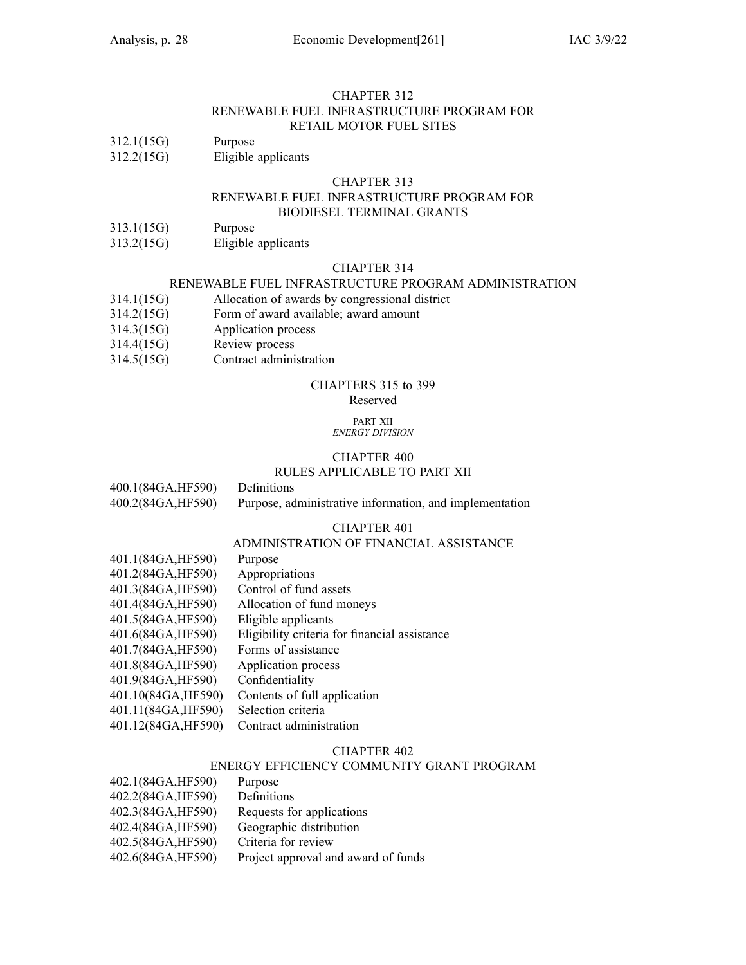#### CHAPTER 312 RENEWABLE FUEL INFRASTRUCTURE PROGRAM FOR RETAIL MOTOR FUEL SITES

# 312.1(15G) Purpose<br>312.2(15G) Eligible

Eligible applicants

#### CHAPTER 313

#### RENEWABLE FUEL INFRASTRUCTURE PROGRAM FOR BIODIESEL TERMINAL GRANTS

- 313.1(15G) Purpose
- 313.2(15G) Eligible applicants

#### CHAPTER 314

### RENEWABLE FUEL INFRASTRUCTURE PROGRAM ADMINISTRATION

- 314.1(15G) Allocation of awards by congressional district
- 314.2(15G) Form of award available; award amount
- 314.3(15G) Application process
- 314.4(15G) Review process
- 314.5(15G) Contract administration

### CHAPTERS 315 to 399

#### Reserved

#### PART XII *ENERGY DIVISION*

### CHAPTER 400

#### RULES APPLICABLE TO PART XII

400.1(84GA,HF590) Definitions 400.2(84GA,HF590) Purpose, administrative information, and implementation

#### CHAPTER 401

### ADMINISTRATION OF FINANCIAL ASSISTANCE

| 401.1(84GA, HF590)  | Purpose                                       |
|---------------------|-----------------------------------------------|
| 401.2(84GA, HF590)  | Appropriations                                |
| 401.3(84GA, HF590)  | Control of fund assets                        |
| 401.4(84GA, HF590)  | Allocation of fund moneys                     |
| 401.5(84GA, HF590)  | Eligible applicants                           |
| 401.6(84GA, HF590)  | Eligibility criteria for financial assistance |
| 401.7(84GA, HF590)  | Forms of assistance                           |
| 401.8(84GA, HF590)  | Application process                           |
| 401.9(84GA, HF590)  | Confidentiality                               |
| 401.10(84GA, HF590) | Contents of full application                  |
| 401.11(84GA, HF590) | Selection criteria                            |
| 401.12(84GA, HF590) | Contract administration                       |

#### CHAPTER 402

#### ENERGY EFFICIENCY COMMUNITY GRANT PROGRAM

| 402.1(84GA,HF590)  | Purpose                             |
|--------------------|-------------------------------------|
| 402.2(84GA, HF590) | Definitions                         |
| 402.3(84GA,HF590)  | Requests for applications           |
| 402.4(84GA,HF590)  | Geographic distribution             |
| 402.5(84GA,HF590)  | Criteria for review                 |
| 402.6(84GA,HF590)  | Project approval and award of funds |